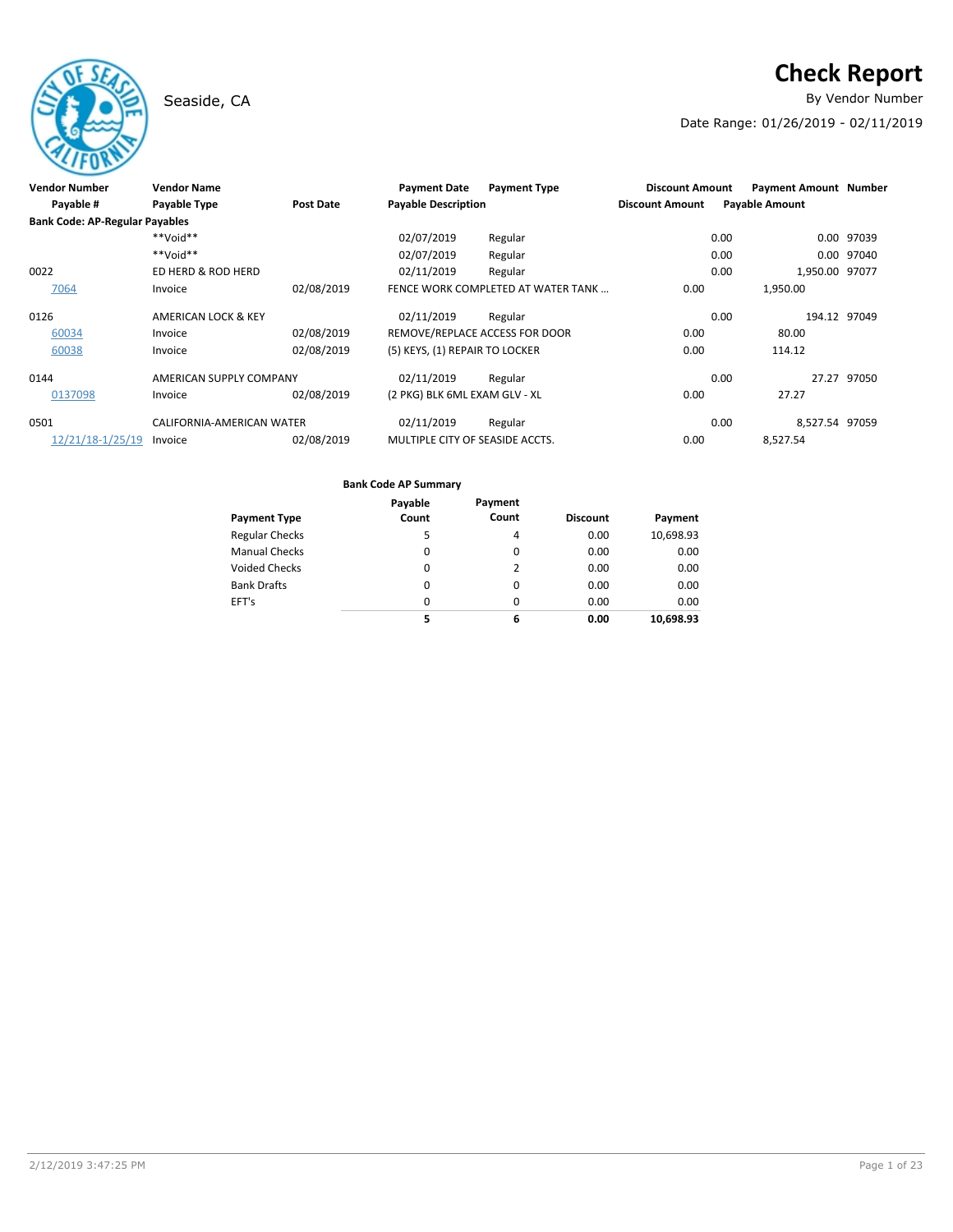# **Check Report**

Seaside, CA **By Vendor Number** 

Date Range: 01/26/2019 - 02/11/2019

| <b>Vendor Number</b>                  | <b>Vendor Name</b>        |            | <b>Payment Date</b>             | <b>Payment Type</b>                | <b>Discount Amount</b> | <b>Payment Amount Number</b> |              |
|---------------------------------------|---------------------------|------------|---------------------------------|------------------------------------|------------------------|------------------------------|--------------|
| Payable #                             | <b>Payable Type</b>       | Post Date  | <b>Payable Description</b>      |                                    | <b>Discount Amount</b> | <b>Payable Amount</b>        |              |
| <b>Bank Code: AP-Regular Payables</b> |                           |            |                                 |                                    |                        |                              |              |
|                                       | $**$ Void**               |            | 02/07/2019                      | Regular                            |                        | 0.00                         | 0.00 97039   |
|                                       | $**$ Noid**               |            | 02/07/2019                      | Regular                            |                        | 0.00<br>0.00                 | 97040        |
| 0022                                  | ED HERD & ROD HERD        |            | 02/11/2019                      | Regular                            |                        | 1,950.00 97077<br>0.00       |              |
| 7064                                  | Invoice                   | 02/08/2019 |                                 | FENCE WORK COMPLETED AT WATER TANK | 0.00                   | 1,950.00                     |              |
| 0126                                  | AMERICAN LOCK & KEY       |            | 02/11/2019                      | Regular                            |                        | 0.00                         | 194.12 97049 |
| 60034                                 | Invoice                   | 02/08/2019 | REMOVE/REPLACE ACCESS FOR DOOR  |                                    | 0.00                   | 80.00                        |              |
| 60038                                 | Invoice                   | 02/08/2019 | (5) KEYS, (1) REPAIR TO LOCKER  |                                    | 0.00                   | 114.12                       |              |
| 0144                                  | AMERICAN SUPPLY COMPANY   |            | 02/11/2019                      | Regular                            |                        | 0.00<br>27.27                | 97050        |
| 0137098                               | Invoice                   | 02/08/2019 | (2 PKG) BLK 6ML EXAM GLV - XL   |                                    | 0.00                   | 27.27                        |              |
| 0501                                  | CALIFORNIA-AMERICAN WATER |            | 02/11/2019                      | Regular                            |                        | 0.00<br>8,527.54 97059       |              |
| 12/21/18-1/25/19                      | Invoice                   | 02/08/2019 | MULTIPLE CITY OF SEASIDE ACCTS. |                                    | 0.00                   | 8.527.54                     |              |

|                       | Payable  | Payment  |                 |           |
|-----------------------|----------|----------|-----------------|-----------|
| <b>Payment Type</b>   | Count    | Count    | <b>Discount</b> | Payment   |
| <b>Regular Checks</b> | 5        | 4        | 0.00            | 10,698.93 |
| <b>Manual Checks</b>  | $\Omega$ | $\Omega$ | 0.00            | 0.00      |
| <b>Voided Checks</b>  | 0        | 2        | 0.00            | 0.00      |
| <b>Bank Drafts</b>    | 0        | $\Omega$ | 0.00            | 0.00      |
| EFT's                 | 0        | $\Omega$ | 0.00            | 0.00      |
|                       | 5        | 6        | 0.00            | 10.698.93 |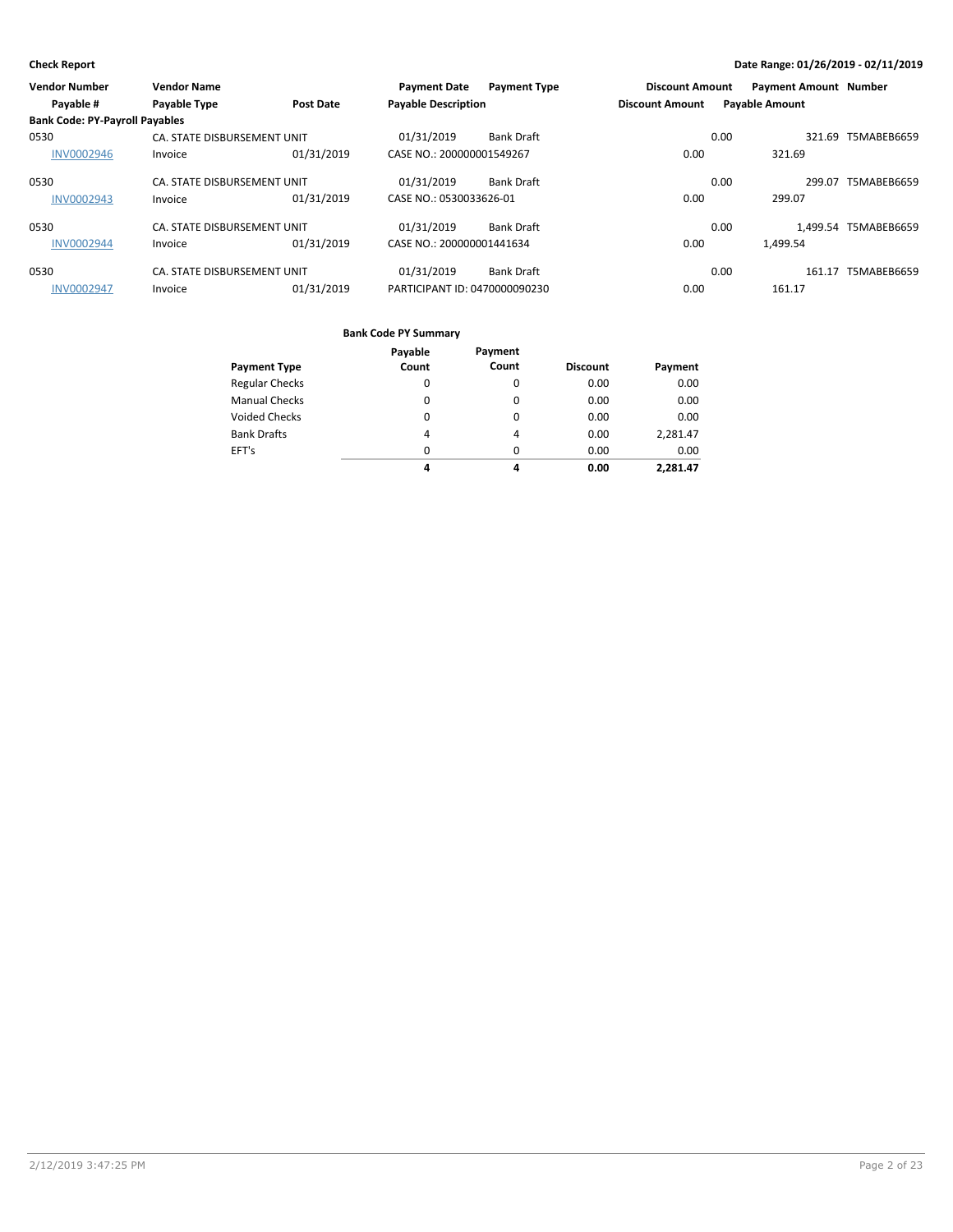| <b>Vendor Number</b>                  | <b>Vendor Name</b>          |                  | <b>Payment Date</b>           | <b>Payment Type</b> | <b>Discount Amount</b> |      | <b>Payment Amount Number</b> |                      |
|---------------------------------------|-----------------------------|------------------|-------------------------------|---------------------|------------------------|------|------------------------------|----------------------|
| Payable #                             | Payable Type                | <b>Post Date</b> | <b>Payable Description</b>    |                     | <b>Discount Amount</b> |      | <b>Payable Amount</b>        |                      |
| <b>Bank Code: PY-Payroll Payables</b> |                             |                  |                               |                     |                        |      |                              |                      |
| 0530                                  | CA. STATE DISBURSEMENT UNIT |                  | 01/31/2019                    | <b>Bank Draft</b>   |                        | 0.00 | 321.69                       | T5MABEB6659          |
| <b>INV0002946</b>                     | Invoice                     | 01/31/2019       | CASE NO.: 200000001549267     |                     | 0.00                   |      | 321.69                       |                      |
| 0530                                  | CA. STATE DISBURSEMENT UNIT |                  | 01/31/2019                    | <b>Bank Draft</b>   |                        | 0.00 | 299.07                       | T5MABEB6659          |
| <b>INV0002943</b>                     | Invoice                     | 01/31/2019       | CASE NO.: 0530033626-01       |                     | 0.00                   |      | 299.07                       |                      |
| 0530                                  | CA. STATE DISBURSEMENT UNIT |                  | 01/31/2019                    | <b>Bank Draft</b>   |                        | 0.00 |                              | 1.499.54 T5MABEB6659 |
| <b>INV0002944</b>                     | Invoice                     | 01/31/2019       | CASE NO.: 200000001441634     |                     | 0.00                   |      | 1.499.54                     |                      |
| 0530                                  | CA. STATE DISBURSEMENT UNIT |                  | 01/31/2019                    | <b>Bank Draft</b>   |                        | 0.00 |                              | 161.17 T5MABEB6659   |
| <b>INV0002947</b>                     | Invoice                     | 01/31/2019       | PARTICIPANT ID: 0470000090230 |                     | 0.00                   |      | 161.17                       |                      |

|                       | Payable  | Payment  |                 |          |
|-----------------------|----------|----------|-----------------|----------|
| <b>Payment Type</b>   | Count    | Count    | <b>Discount</b> | Payment  |
| <b>Regular Checks</b> | $\Omega$ | $\Omega$ | 0.00            | 0.00     |
| <b>Manual Checks</b>  | $\Omega$ | 0        | 0.00            | 0.00     |
| <b>Voided Checks</b>  | $\Omega$ | $\Omega$ | 0.00            | 0.00     |
| <b>Bank Drafts</b>    | 4        | 4        | 0.00            | 2,281.47 |
| EFT's                 | $\Omega$ | $\Omega$ | 0.00            | 0.00     |
|                       | 4        | 4        | 0.00            | 2.281.47 |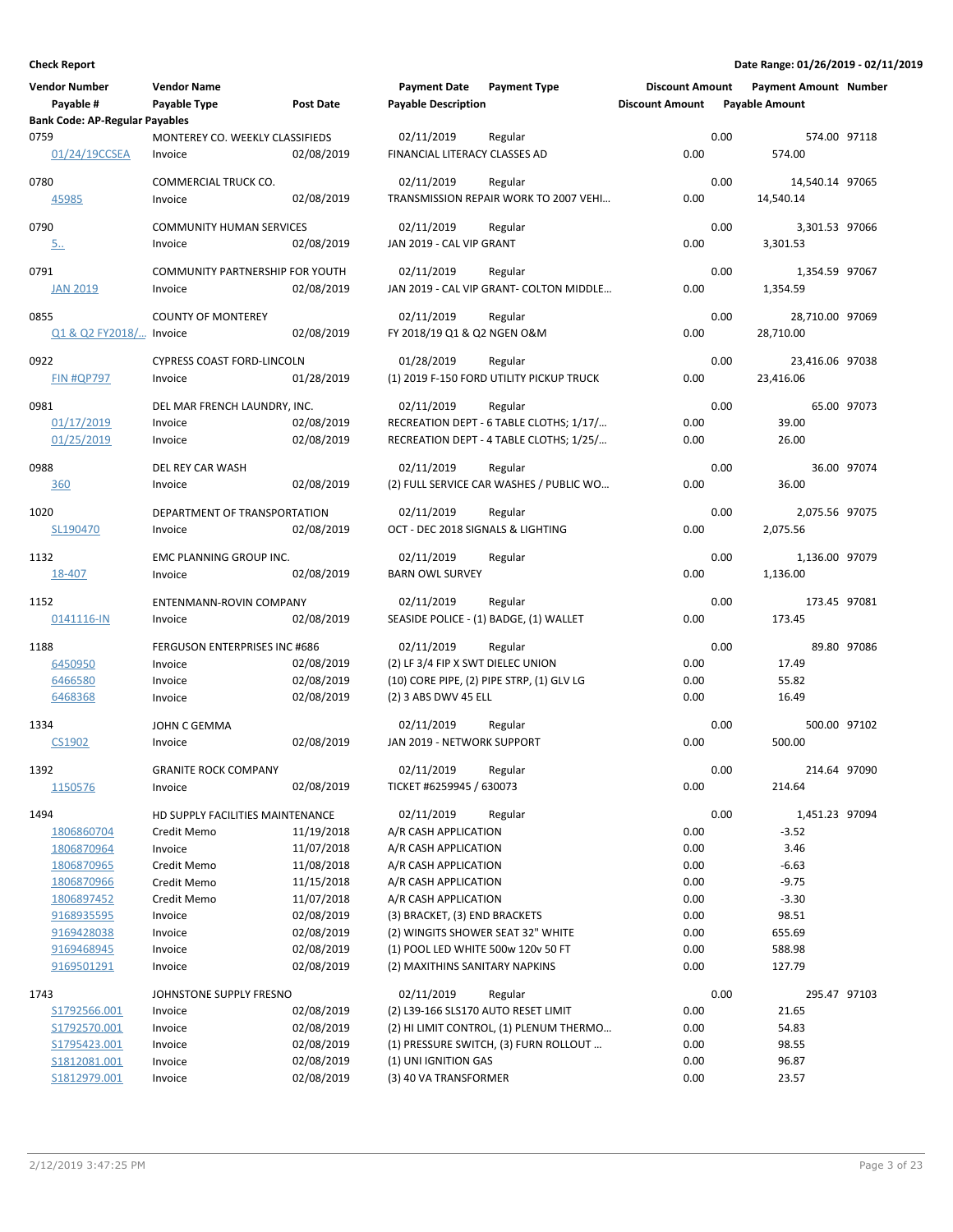| <b>Vendor Number</b>                  | <b>Vendor Name</b>                         |                  | <b>Payment Date</b>                             | <b>Payment Type</b>                       | <b>Discount Amount</b> |      | <b>Payment Amount Number</b> |             |
|---------------------------------------|--------------------------------------------|------------------|-------------------------------------------------|-------------------------------------------|------------------------|------|------------------------------|-------------|
| Payable #                             | Payable Type                               | <b>Post Date</b> | <b>Payable Description</b>                      |                                           | <b>Discount Amount</b> |      | <b>Payable Amount</b>        |             |
| <b>Bank Code: AP-Regular Payables</b> |                                            |                  |                                                 |                                           |                        |      |                              |             |
| 0759<br>01/24/19CCSEA                 | MONTEREY CO. WEEKLY CLASSIFIEDS<br>Invoice | 02/08/2019       | 02/11/2019<br>FINANCIAL LITERACY CLASSES AD     | Regular                                   | 0.00                   | 0.00 | 574.00 97118<br>574.00       |             |
| 0780                                  | COMMERCIAL TRUCK CO.                       |                  | 02/11/2019                                      | Regular                                   |                        | 0.00 | 14,540.14 97065              |             |
| 45985                                 | Invoice                                    | 02/08/2019       |                                                 | TRANSMISSION REPAIR WORK TO 2007 VEHI     | 0.00                   |      | 14,540.14                    |             |
| 0790                                  | <b>COMMUNITY HUMAN SERVICES</b>            |                  | 02/11/2019                                      | Regular                                   |                        | 0.00 | 3,301.53 97066               |             |
| <u>5</u>                              | Invoice                                    | 02/08/2019       | JAN 2019 - CAL VIP GRANT                        |                                           | 0.00                   |      | 3,301.53                     |             |
| 0791                                  | COMMUNITY PARTNERSHIP FOR YOUTH            |                  | 02/11/2019                                      | Regular                                   |                        | 0.00 | 1,354.59 97067               |             |
| <b>JAN 2019</b>                       | Invoice                                    | 02/08/2019       |                                                 | JAN 2019 - CAL VIP GRANT- COLTON MIDDLE   | 0.00                   |      | 1,354.59                     |             |
| 0855                                  | <b>COUNTY OF MONTEREY</b>                  |                  | 02/11/2019                                      | Regular                                   |                        | 0.00 | 28,710.00 97069              |             |
| Q1 & Q2 FY2018/ Invoice               |                                            | 02/08/2019       | FY 2018/19 Q1 & Q2 NGEN O&M                     |                                           | 0.00                   |      | 28,710.00                    |             |
| 0922                                  | <b>CYPRESS COAST FORD-LINCOLN</b>          |                  | 01/28/2019                                      | Regular                                   |                        | 0.00 | 23,416.06 97038              |             |
| <b>FIN #QP797</b>                     | Invoice                                    | 01/28/2019       |                                                 | (1) 2019 F-150 FORD UTILITY PICKUP TRUCK  | 0.00                   |      | 23,416.06                    |             |
| 0981                                  | DEL MAR FRENCH LAUNDRY, INC.               |                  | 02/11/2019                                      | Regular                                   |                        | 0.00 |                              | 65.00 97073 |
| 01/17/2019                            | Invoice                                    | 02/08/2019       |                                                 | RECREATION DEPT - 6 TABLE CLOTHS; 1/17/   | 0.00                   |      | 39.00                        |             |
| 01/25/2019                            | Invoice                                    | 02/08/2019       |                                                 | RECREATION DEPT - 4 TABLE CLOTHS; 1/25/   | 0.00                   |      | 26.00                        |             |
| 0988                                  | DEL REY CAR WASH                           |                  | 02/11/2019                                      | Regular                                   |                        | 0.00 |                              | 36.00 97074 |
| 360                                   | Invoice                                    | 02/08/2019       |                                                 | (2) FULL SERVICE CAR WASHES / PUBLIC WO   | 0.00                   |      | 36.00                        |             |
|                                       |                                            |                  |                                                 |                                           |                        |      |                              |             |
| 1020<br>SL190470                      | DEPARTMENT OF TRANSPORTATION<br>Invoice    | 02/08/2019       | 02/11/2019<br>OCT - DEC 2018 SIGNALS & LIGHTING | Regular                                   | 0.00                   | 0.00 | 2,075.56 97075<br>2,075.56   |             |
|                                       |                                            |                  |                                                 |                                           |                        |      |                              |             |
| 1132                                  | EMC PLANNING GROUP INC.                    |                  | 02/11/2019                                      | Regular                                   |                        | 0.00 | 1,136.00 97079               |             |
| 18-407                                | Invoice                                    | 02/08/2019       | <b>BARN OWL SURVEY</b>                          |                                           | 0.00                   |      | 1,136.00                     |             |
| 1152                                  | ENTENMANN-ROVIN COMPANY                    |                  | 02/11/2019                                      | Regular                                   |                        | 0.00 | 173.45 97081                 |             |
| 0141116-IN                            | Invoice                                    | 02/08/2019       |                                                 | SEASIDE POLICE - (1) BADGE, (1) WALLET    | 0.00                   |      | 173.45                       |             |
| 1188                                  | FERGUSON ENTERPRISES INC #686              |                  | 02/11/2019                                      | Regular                                   |                        | 0.00 |                              | 89.80 97086 |
| 6450950                               | Invoice                                    | 02/08/2019       | (2) LF 3/4 FIP X SWT DIELEC UNION               |                                           | 0.00                   |      | 17.49                        |             |
| 6466580                               | Invoice                                    | 02/08/2019       |                                                 | (10) CORE PIPE, (2) PIPE STRP, (1) GLV LG | 0.00                   |      | 55.82                        |             |
| 6468368                               | Invoice                                    | 02/08/2019       | (2) 3 ABS DWV 45 ELL                            |                                           | 0.00                   |      | 16.49                        |             |
| 1334                                  | JOHN C GEMMA                               |                  | 02/11/2019                                      | Regular                                   |                        | 0.00 | 500.00 97102                 |             |
| CS1902                                | Invoice                                    | 02/08/2019       | JAN 2019 - NETWORK SUPPORT                      |                                           | 0.00                   |      | 500.00                       |             |
|                                       |                                            |                  |                                                 |                                           |                        |      | 214.64 97090                 |             |
| 1392<br>1150576                       | <b>GRANITE ROCK COMPANY</b><br>Invoice     | 02/08/2019       | 02/11/2019<br>TICKET #6259945 / 630073          | Regular                                   | 0.00                   | 0.00 | 214.64                       |             |
|                                       |                                            |                  |                                                 |                                           |                        |      |                              |             |
| 1494                                  | HD SUPPLY FACILITIES MAINTENANCE           |                  | 02/11/2019                                      | Regular                                   |                        | 0.00 | 1,451.23 97094               |             |
| 1806860704                            | Credit Memo                                | 11/19/2018       | A/R CASH APPLICATION                            |                                           | 0.00                   |      | $-3.52$                      |             |
| 1806870964                            | Invoice                                    | 11/07/2018       | A/R CASH APPLICATION                            |                                           | 0.00                   |      | 3.46                         |             |
| 1806870965                            | Credit Memo                                | 11/08/2018       | A/R CASH APPLICATION                            |                                           | 0.00                   |      | $-6.63$                      |             |
| 1806870966                            | Credit Memo                                | 11/15/2018       | A/R CASH APPLICATION                            |                                           | 0.00                   |      | $-9.75$                      |             |
| 1806897452                            | Credit Memo                                | 11/07/2018       | A/R CASH APPLICATION                            |                                           | 0.00                   |      | $-3.30$                      |             |
| 9168935595                            | Invoice                                    | 02/08/2019       | (3) BRACKET, (3) END BRACKETS                   |                                           | 0.00                   |      | 98.51                        |             |
| 9169428038                            | Invoice                                    | 02/08/2019       | (2) WINGITS SHOWER SEAT 32" WHITE               |                                           | 0.00                   |      | 655.69                       |             |
| 9169468945                            | Invoice                                    | 02/08/2019       | (1) POOL LED WHITE 500w 120v 50 FT              |                                           | 0.00                   |      | 588.98                       |             |
| 9169501291                            | Invoice                                    | 02/08/2019       | (2) MAXITHINS SANITARY NAPKINS                  |                                           | 0.00                   |      | 127.79                       |             |
| 1743                                  | JOHNSTONE SUPPLY FRESNO                    |                  | 02/11/2019                                      | Regular                                   |                        | 0.00 | 295.47 97103                 |             |
| S1792566.001                          | Invoice                                    | 02/08/2019       | (2) L39-166 SLS170 AUTO RESET LIMIT             |                                           | 0.00                   |      | 21.65                        |             |
| S1792570.001                          | Invoice                                    | 02/08/2019       |                                                 | (2) HI LIMIT CONTROL, (1) PLENUM THERMO   | 0.00                   |      | 54.83                        |             |
| S1795423.001                          | Invoice                                    | 02/08/2019       |                                                 | (1) PRESSURE SWITCH, (3) FURN ROLLOUT     | 0.00                   |      | 98.55                        |             |
| S1812081.001                          | Invoice                                    | 02/08/2019       | (1) UNI IGNITION GAS                            |                                           | 0.00                   |      | 96.87                        |             |
| S1812979.001                          | Invoice                                    | 02/08/2019       | (3) 40 VA TRANSFORMER                           |                                           | 0.00                   |      | 23.57                        |             |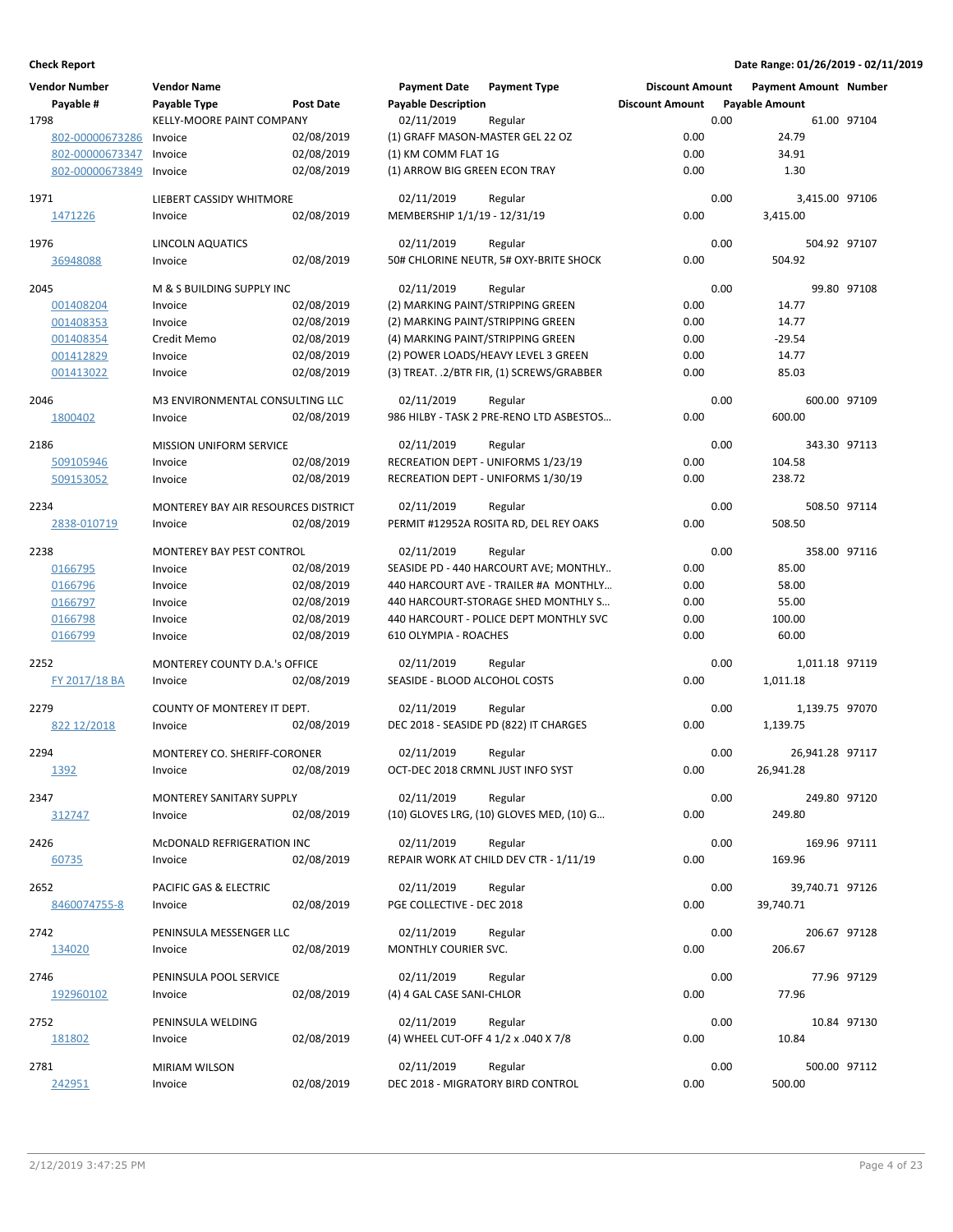| <b>Vendor Number</b> | <b>Vendor Name</b>                  |            | <b>Payment Date</b>                  | <b>Payment Type</b>                       | <b>Discount Amount</b> |      | <b>Payment Amount Number</b> |              |
|----------------------|-------------------------------------|------------|--------------------------------------|-------------------------------------------|------------------------|------|------------------------------|--------------|
| Payable #            | Payable Type                        | Post Date  | <b>Payable Description</b>           |                                           | <b>Discount Amount</b> |      | <b>Payable Amount</b>        |              |
| 1798                 | KELLY-MOORE PAINT COMPANY           |            | 02/11/2019                           | Regular                                   |                        | 0.00 |                              | 61.00 97104  |
| 802-00000673286      | Invoice                             | 02/08/2019 | (1) GRAFF MASON-MASTER GEL 22 OZ     |                                           | 0.00                   |      | 24.79                        |              |
|                      |                                     | 02/08/2019 | (1) KM COMM FLAT 1G                  |                                           | 0.00                   |      |                              |              |
| 802-00000673347      | Invoice                             |            |                                      |                                           |                        |      | 34.91                        |              |
| 802-00000673849      | Invoice                             | 02/08/2019 | (1) ARROW BIG GREEN ECON TRAY        |                                           | 0.00                   |      | 1.30                         |              |
| 1971                 | LIEBERT CASSIDY WHITMORE            |            | 02/11/2019                           | Regular                                   |                        | 0.00 | 3,415.00 97106               |              |
| 1471226              | Invoice                             | 02/08/2019 | MEMBERSHIP 1/1/19 - 12/31/19         |                                           | 0.00                   |      | 3,415.00                     |              |
|                      |                                     |            |                                      |                                           |                        |      |                              |              |
| 1976                 | LINCOLN AQUATICS                    |            | 02/11/2019                           | Regular                                   |                        | 0.00 | 504.92 97107                 |              |
| 36948088             | Invoice                             | 02/08/2019 |                                      | 50# CHLORINE NEUTR, 5# OXY-BRITE SHOCK    | 0.00                   |      | 504.92                       |              |
|                      |                                     |            |                                      |                                           |                        |      |                              |              |
| 2045                 | M & S BUILDING SUPPLY INC           |            | 02/11/2019                           | Regular                                   |                        | 0.00 |                              | 99.80 97108  |
| 001408204            | Invoice                             | 02/08/2019 | (2) MARKING PAINT/STRIPPING GREEN    |                                           | 0.00                   |      | 14.77                        |              |
| 001408353            | Invoice                             | 02/08/2019 | (2) MARKING PAINT/STRIPPING GREEN    |                                           | 0.00                   |      | 14.77                        |              |
| 001408354            | Credit Memo                         | 02/08/2019 | (4) MARKING PAINT/STRIPPING GREEN    |                                           | 0.00                   |      | $-29.54$                     |              |
| 001412829            | Invoice                             | 02/08/2019 |                                      | (2) POWER LOADS/HEAVY LEVEL 3 GREEN       | 0.00                   |      | 14.77                        |              |
| 001413022            | Invoice                             | 02/08/2019 |                                      | (3) TREAT. .2/BTR FIR, (1) SCREWS/GRABBER | 0.00                   |      | 85.03                        |              |
|                      |                                     |            |                                      |                                           |                        |      |                              |              |
| 2046                 | M3 ENVIRONMENTAL CONSULTING LLC     |            | 02/11/2019                           | Regular                                   |                        | 0.00 | 600.00 97109                 |              |
| 1800402              | Invoice                             | 02/08/2019 |                                      | 986 HILBY - TASK 2 PRE-RENO LTD ASBESTOS  | 0.00                   |      | 600.00                       |              |
|                      |                                     |            |                                      |                                           |                        |      |                              |              |
| 2186                 | <b>MISSION UNIFORM SERVICE</b>      |            | 02/11/2019                           | Regular                                   |                        | 0.00 |                              | 343.30 97113 |
| 509105946            | Invoice                             | 02/08/2019 |                                      | RECREATION DEPT - UNIFORMS 1/23/19        | 0.00                   |      | 104.58                       |              |
| 509153052            | Invoice                             | 02/08/2019 |                                      | RECREATION DEPT - UNIFORMS 1/30/19        | 0.00                   |      | 238.72                       |              |
|                      |                                     |            |                                      |                                           |                        |      |                              |              |
| 2234                 | MONTEREY BAY AIR RESOURCES DISTRICT |            | 02/11/2019                           | Regular                                   |                        | 0.00 | 508.50 97114                 |              |
| 2838-010719          | Invoice                             | 02/08/2019 |                                      | PERMIT #12952A ROSITA RD, DEL REY OAKS    | 0.00                   |      | 508.50                       |              |
| 2238                 | MONTEREY BAY PEST CONTROL           |            | 02/11/2019                           | Regular                                   |                        | 0.00 |                              | 358.00 97116 |
| 0166795              | Invoice                             | 02/08/2019 |                                      | SEASIDE PD - 440 HARCOURT AVE; MONTHLY    | 0.00                   |      | 85.00                        |              |
| 0166796              | Invoice                             | 02/08/2019 |                                      | 440 HARCOURT AVE - TRAILER #A MONTHLY     | 0.00                   |      | 58.00                        |              |
|                      |                                     | 02/08/2019 |                                      | 440 HARCOURT-STORAGE SHED MONTHLY S       | 0.00                   |      |                              |              |
| 0166797              | Invoice                             |            |                                      |                                           |                        |      | 55.00                        |              |
| 0166798              | Invoice                             | 02/08/2019 |                                      | 440 HARCOURT - POLICE DEPT MONTHLY SVC    | 0.00                   |      | 100.00                       |              |
| 0166799              | Invoice                             | 02/08/2019 | 610 OLYMPIA - ROACHES                |                                           | 0.00                   |      | 60.00                        |              |
| 2252                 | MONTEREY COUNTY D.A.'s OFFICE       |            | 02/11/2019                           | Regular                                   |                        | 0.00 | 1,011.18 97119               |              |
| FY 2017/18 BA        | Invoice                             | 02/08/2019 | SEASIDE - BLOOD ALCOHOL COSTS        |                                           | 0.00                   |      | 1,011.18                     |              |
|                      |                                     |            |                                      |                                           |                        |      |                              |              |
| 2279                 | COUNTY OF MONTEREY IT DEPT.         |            | 02/11/2019                           | Regular                                   |                        | 0.00 | 1,139.75 97070               |              |
| 822 12/2018          | Invoice                             | 02/08/2019 |                                      | DEC 2018 - SEASIDE PD (822) IT CHARGES    | 0.00                   |      | 1,139.75                     |              |
|                      |                                     |            |                                      |                                           |                        |      |                              |              |
| 2294                 | MONTEREY CO. SHERIFF-CORONER        |            | 02/11/2019                           | Regular                                   |                        | 0.00 | 26,941.28 97117              |              |
| 1392                 | Invoice                             | 02/08/2019 | OCT-DEC 2018 CRMNL JUST INFO SYST    |                                           | 0.00                   |      | 26,941.28                    |              |
|                      |                                     |            |                                      |                                           |                        |      |                              |              |
| 2347                 | MONTEREY SANITARY SUPPLY            |            | 02/11/2019                           | Regular                                   |                        | 0.00 |                              | 249.80 97120 |
| 312747               | Invoice                             | 02/08/2019 |                                      | (10) GLOVES LRG, (10) GLOVES MED, (10) G  | 0.00                   |      | 249.80                       |              |
| 2426                 | McDONALD REFRIGERATION INC          |            | 02/11/2019                           | Regular                                   |                        | 0.00 |                              | 169.96 97111 |
| 60735                |                                     | 02/08/2019 |                                      | REPAIR WORK AT CHILD DEV CTR - 1/11/19    | 0.00                   |      | 169.96                       |              |
|                      | Invoice                             |            |                                      |                                           |                        |      |                              |              |
| 2652                 | PACIFIC GAS & ELECTRIC              |            | 02/11/2019                           | Regular                                   |                        | 0.00 | 39,740.71 97126              |              |
| 8460074755-8         | Invoice                             | 02/08/2019 | PGE COLLECTIVE - DEC 2018            |                                           | 0.00                   |      | 39,740.71                    |              |
|                      |                                     |            |                                      |                                           |                        |      |                              |              |
| 2742                 | PENINSULA MESSENGER LLC             |            | 02/11/2019                           | Regular                                   |                        | 0.00 |                              | 206.67 97128 |
| 134020               | Invoice                             | 02/08/2019 | MONTHLY COURIER SVC.                 |                                           | 0.00                   |      | 206.67                       |              |
|                      |                                     |            |                                      |                                           |                        |      |                              |              |
| 2746                 | PENINSULA POOL SERVICE              |            | 02/11/2019                           | Regular                                   |                        | 0.00 |                              | 77.96 97129  |
| 192960102            | Invoice                             | 02/08/2019 | (4) 4 GAL CASE SANI-CHLOR            |                                           | 0.00                   |      | 77.96                        |              |
|                      |                                     |            |                                      |                                           |                        |      |                              |              |
| 2752                 | PENINSULA WELDING                   |            | 02/11/2019                           | Regular                                   |                        | 0.00 |                              | 10.84 97130  |
| 181802               | Invoice                             | 02/08/2019 | (4) WHEEL CUT-OFF 4 1/2 x .040 X 7/8 |                                           | 0.00                   |      | 10.84                        |              |
| 2781                 | MIRIAM WILSON                       |            | 02/11/2019                           | Regular                                   |                        | 0.00 |                              | 500.00 97112 |
| 242951               | Invoice                             | 02/08/2019 | DEC 2018 - MIGRATORY BIRD CONTROL    |                                           | 0.00                   |      | 500.00                       |              |
|                      |                                     |            |                                      |                                           |                        |      |                              |              |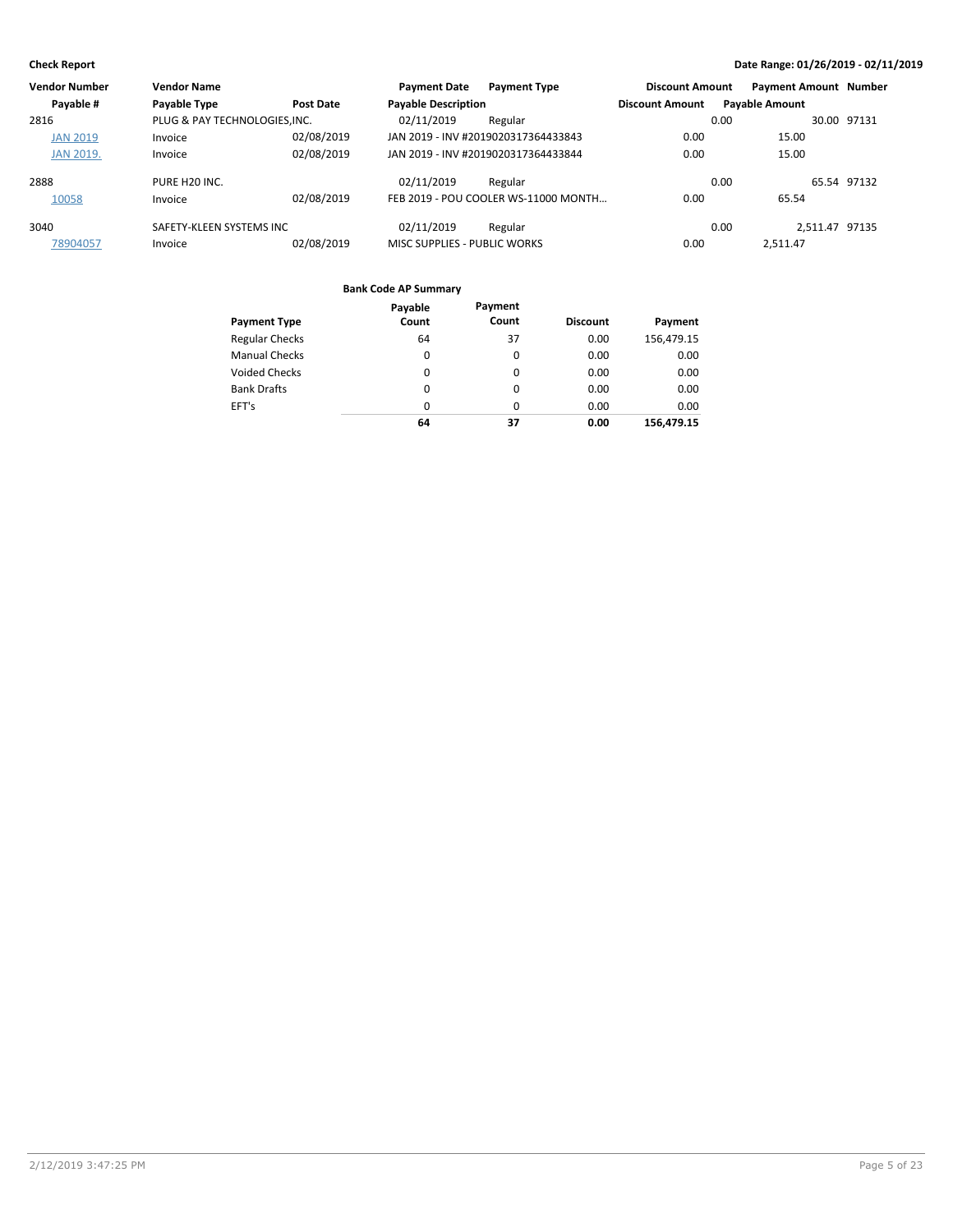| <b>Vendor Number</b> | <b>Vendor Name</b>            |                  | <b>Payment Date</b>          | <b>Payment Type</b>                  | <b>Discount Amount</b> | <b>Payment Amount Number</b> |             |
|----------------------|-------------------------------|------------------|------------------------------|--------------------------------------|------------------------|------------------------------|-------------|
| Payable #            | Payable Type                  | <b>Post Date</b> | <b>Payable Description</b>   |                                      | <b>Discount Amount</b> | <b>Payable Amount</b>        |             |
| 2816                 | PLUG & PAY TECHNOLOGIES, INC. |                  | 02/11/2019                   | Regular                              |                        | 0.00                         | 30.00 97131 |
| <b>JAN 2019</b>      | Invoice                       | 02/08/2019       |                              | JAN 2019 - INV #2019020317364433843  | 0.00                   | 15.00                        |             |
| <b>JAN 2019.</b>     | Invoice                       | 02/08/2019       |                              | JAN 2019 - INV #2019020317364433844  | 0.00                   | 15.00                        |             |
| 2888                 | PURE H20 INC.                 |                  | 02/11/2019                   | Regular                              |                        | 0.00                         | 65.54 97132 |
| 10058                | Invoice                       | 02/08/2019       |                              | FEB 2019 - POU COOLER WS-11000 MONTH | 0.00                   | 65.54                        |             |
| 3040                 | SAFETY-KLEEN SYSTEMS INC      |                  | 02/11/2019                   | Regular                              |                        | 2.511.47 97135<br>0.00       |             |
| 78904057             | Invoice                       | 02/08/2019       | MISC SUPPLIES - PUBLIC WORKS |                                      | 0.00                   | 2.511.47                     |             |

|                       | Payable  | Payment |                 |            |
|-----------------------|----------|---------|-----------------|------------|
| <b>Payment Type</b>   | Count    | Count   | <b>Discount</b> | Payment    |
| <b>Regular Checks</b> | 64       | 37      | 0.00            | 156,479.15 |
| <b>Manual Checks</b>  | 0        | 0       | 0.00            | 0.00       |
| <b>Voided Checks</b>  | 0        | 0       | 0.00            | 0.00       |
| <b>Bank Drafts</b>    | 0        | 0       | 0.00            | 0.00       |
| EFT's                 | $\Omega$ | 0       | 0.00            | 0.00       |
|                       | 64       | 37      | 0.00            | 156,479.15 |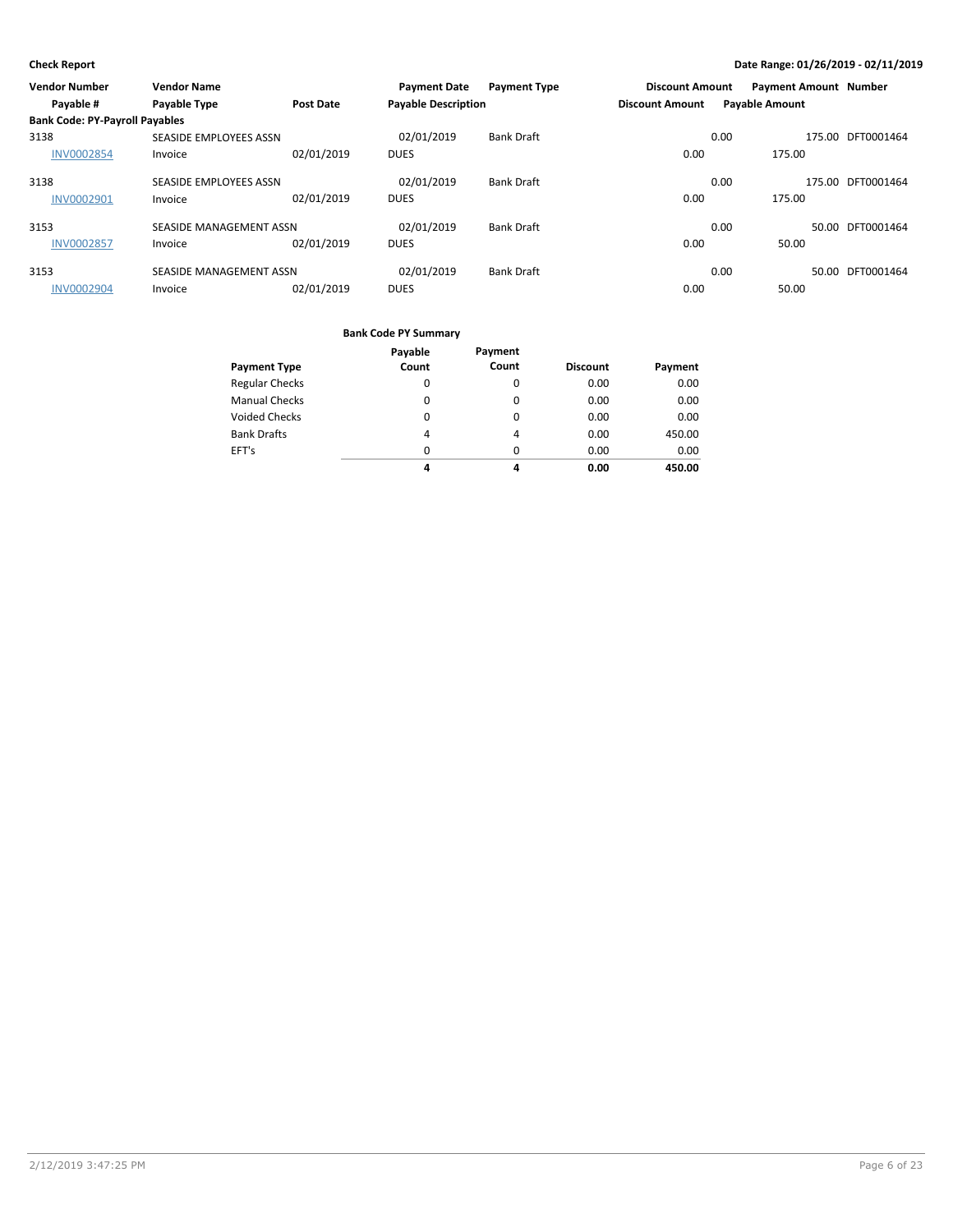| <b>Vendor Number</b>                  | <b>Vendor Name</b>      |                  | <b>Payment Date</b>        | <b>Payment Type</b> | <b>Discount Amount</b> |                       | <b>Payment Amount Number</b> |                   |
|---------------------------------------|-------------------------|------------------|----------------------------|---------------------|------------------------|-----------------------|------------------------------|-------------------|
| Payable #                             | <b>Payable Type</b>     | <b>Post Date</b> | <b>Payable Description</b> |                     | <b>Discount Amount</b> | <b>Payable Amount</b> |                              |                   |
| <b>Bank Code: PY-Payroll Payables</b> |                         |                  |                            |                     |                        |                       |                              |                   |
| 3138                                  | SEASIDE EMPLOYEES ASSN  |                  | 02/01/2019                 | <b>Bank Draft</b>   |                        | 0.00                  |                              | 175.00 DFT0001464 |
| <b>INV0002854</b>                     | Invoice                 | 02/01/2019       | <b>DUES</b>                |                     | 0.00                   |                       | 175.00                       |                   |
| 3138                                  | SEASIDE EMPLOYEES ASSN  |                  | 02/01/2019                 | <b>Bank Draft</b>   |                        | 0.00                  |                              | 175.00 DFT0001464 |
| <b>INV0002901</b>                     | Invoice                 | 02/01/2019       | <b>DUES</b>                |                     | 0.00                   |                       | 175.00                       |                   |
| 3153                                  | SEASIDE MANAGEMENT ASSN |                  | 02/01/2019                 | <b>Bank Draft</b>   |                        | 0.00                  |                              | 50.00 DFT0001464  |
| <b>INV0002857</b>                     | Invoice                 | 02/01/2019       | <b>DUES</b>                |                     | 0.00                   |                       | 50.00                        |                   |
| 3153                                  | SEASIDE MANAGEMENT ASSN |                  | 02/01/2019                 | <b>Bank Draft</b>   |                        | 0.00                  |                              | 50.00 DFT0001464  |
| <b>INV0002904</b>                     | Invoice                 | 02/01/2019       | <b>DUES</b>                |                     | 0.00                   |                       | 50.00                        |                   |

|                       | Payable  | Payment        |                 |         |
|-----------------------|----------|----------------|-----------------|---------|
| <b>Payment Type</b>   | Count    | Count          | <b>Discount</b> | Payment |
| <b>Regular Checks</b> | $\Omega$ | 0              | 0.00            | 0.00    |
| <b>Manual Checks</b>  | 0        | 0              | 0.00            | 0.00    |
| <b>Voided Checks</b>  | 0        | 0              | 0.00            | 0.00    |
| <b>Bank Drafts</b>    | 4        | $\overline{4}$ | 0.00            | 450.00  |
| EFT's                 | $\Omega$ | $\Omega$       | 0.00            | 0.00    |
|                       | 4        | 4              | 0.00            | 450.00  |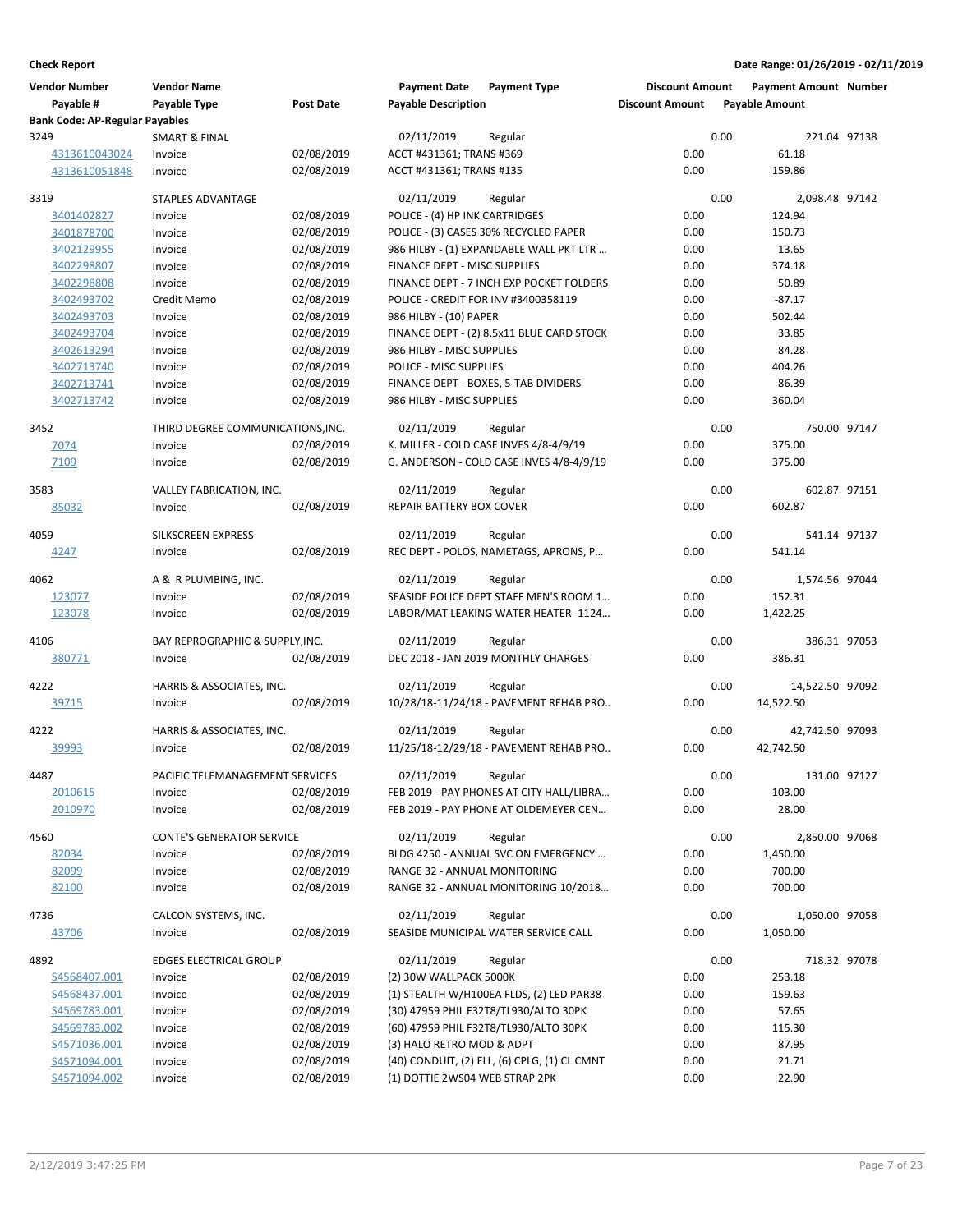| <b>Vendor Number</b><br>Payable #     | <b>Vendor Name</b><br>Payable Type | <b>Post Date</b> | <b>Payment Date</b><br><b>Payable Description</b> | <b>Payment Type</b>                          | <b>Discount Amount</b><br><b>Discount Amount</b> |      | <b>Payment Amount Number</b><br><b>Payable Amount</b> |  |
|---------------------------------------|------------------------------------|------------------|---------------------------------------------------|----------------------------------------------|--------------------------------------------------|------|-------------------------------------------------------|--|
| <b>Bank Code: AP-Regular Payables</b> |                                    |                  |                                                   |                                              |                                                  |      |                                                       |  |
| 3249                                  | <b>SMART &amp; FINAL</b>           |                  | 02/11/2019                                        | Regular                                      |                                                  | 0.00 | 221.04 97138                                          |  |
| 4313610043024                         | Invoice                            | 02/08/2019       | ACCT #431361; TRANS #369                          |                                              | 0.00                                             |      | 61.18                                                 |  |
| 4313610051848                         | Invoice                            | 02/08/2019       | ACCT #431361; TRANS #135                          |                                              | 0.00                                             |      | 159.86                                                |  |
| 3319                                  | <b>STAPLES ADVANTAGE</b>           |                  | 02/11/2019                                        | Regular                                      |                                                  | 0.00 | 2,098.48 97142                                        |  |
| 3401402827                            | Invoice                            | 02/08/2019       | POLICE - (4) HP INK CARTRIDGES                    |                                              | 0.00                                             |      | 124.94                                                |  |
| 3401878700                            | Invoice                            | 02/08/2019       |                                                   | POLICE - (3) CASES 30% RECYCLED PAPER        | 0.00                                             |      | 150.73                                                |  |
| 3402129955                            | Invoice                            | 02/08/2019       |                                                   | 986 HILBY - (1) EXPANDABLE WALL PKT LTR      | 0.00                                             |      | 13.65                                                 |  |
| 3402298807                            | Invoice                            | 02/08/2019       | FINANCE DEPT - MISC SUPPLIES                      |                                              | 0.00                                             |      | 374.18                                                |  |
| 3402298808                            | Invoice                            | 02/08/2019       |                                                   | FINANCE DEPT - 7 INCH EXP POCKET FOLDERS     | 0.00                                             |      | 50.89                                                 |  |
| 3402493702                            | Credit Memo                        | 02/08/2019       |                                                   | POLICE - CREDIT FOR INV #3400358119          | 0.00                                             |      | $-87.17$                                              |  |
| 3402493703                            | Invoice                            | 02/08/2019       | 986 HILBY - (10) PAPER                            |                                              | 0.00                                             |      | 502.44                                                |  |
| 3402493704                            | Invoice                            | 02/08/2019       |                                                   | FINANCE DEPT - (2) 8.5x11 BLUE CARD STOCK    | 0.00                                             |      | 33.85                                                 |  |
| 3402613294                            | Invoice                            | 02/08/2019       | 986 HILBY - MISC SUPPLIES                         |                                              | 0.00                                             |      | 84.28                                                 |  |
| 3402713740                            | Invoice                            | 02/08/2019       | POLICE - MISC SUPPLIES                            |                                              | 0.00                                             |      | 404.26                                                |  |
| 3402713741                            | Invoice                            | 02/08/2019       |                                                   | FINANCE DEPT - BOXES, 5-TAB DIVIDERS         | 0.00                                             |      | 86.39                                                 |  |
| 3402713742                            | Invoice                            | 02/08/2019       | 986 HILBY - MISC SUPPLIES                         |                                              | 0.00                                             |      | 360.04                                                |  |
| 3452                                  | THIRD DEGREE COMMUNICATIONS, INC.  |                  | 02/11/2019                                        | Regular                                      |                                                  | 0.00 | 750.00 97147                                          |  |
| 7074                                  | Invoice                            | 02/08/2019       |                                                   | K. MILLER - COLD CASE INVES 4/8-4/9/19       | 0.00                                             |      | 375.00                                                |  |
| 7109                                  | Invoice                            | 02/08/2019       |                                                   | G. ANDERSON - COLD CASE INVES 4/8-4/9/19     | 0.00                                             |      | 375.00                                                |  |
|                                       |                                    |                  |                                                   |                                              |                                                  |      |                                                       |  |
| 3583                                  | VALLEY FABRICATION, INC.           |                  | 02/11/2019                                        | Regular                                      |                                                  | 0.00 | 602.87 97151                                          |  |
| 85032                                 | Invoice                            | 02/08/2019       | <b>REPAIR BATTERY BOX COVER</b>                   |                                              | 0.00                                             |      | 602.87                                                |  |
| 4059                                  | SILKSCREEN EXPRESS                 |                  | 02/11/2019                                        | Regular                                      |                                                  | 0.00 | 541.14 97137                                          |  |
| 4247                                  | Invoice                            | 02/08/2019       |                                                   | REC DEPT - POLOS, NAMETAGS, APRONS, P        | 0.00                                             |      | 541.14                                                |  |
|                                       |                                    |                  |                                                   |                                              |                                                  |      |                                                       |  |
| 4062                                  | A & R PLUMBING, INC.               |                  | 02/11/2019                                        | Regular                                      |                                                  | 0.00 | 1,574.56 97044                                        |  |
| 123077                                | Invoice                            | 02/08/2019       |                                                   | SEASIDE POLICE DEPT STAFF MEN'S ROOM 1       | 0.00                                             |      | 152.31                                                |  |
| 123078                                | Invoice                            | 02/08/2019       |                                                   | LABOR/MAT LEAKING WATER HEATER -1124         | 0.00                                             |      | 1,422.25                                              |  |
| 4106                                  | BAY REPROGRAPHIC & SUPPLY, INC.    |                  | 02/11/2019                                        | Regular                                      |                                                  | 0.00 | 386.31 97053                                          |  |
| 380771                                | Invoice                            | 02/08/2019       |                                                   | DEC 2018 - JAN 2019 MONTHLY CHARGES          | 0.00                                             |      | 386.31                                                |  |
|                                       |                                    |                  |                                                   |                                              |                                                  |      |                                                       |  |
| 4222                                  | HARRIS & ASSOCIATES, INC.          |                  | 02/11/2019                                        | Regular                                      |                                                  | 0.00 | 14,522.50 97092                                       |  |
| 39715                                 | Invoice                            | 02/08/2019       |                                                   | 10/28/18-11/24/18 - PAVEMENT REHAB PRO       | 0.00                                             |      | 14,522.50                                             |  |
| 4222                                  | HARRIS & ASSOCIATES, INC.          |                  | 02/11/2019                                        | Regular                                      |                                                  | 0.00 | 42,742.50 97093                                       |  |
| 39993                                 | Invoice                            | 02/08/2019       |                                                   | 11/25/18-12/29/18 - PAVEMENT REHAB PRO       | 0.00                                             |      | 42,742.50                                             |  |
|                                       |                                    |                  |                                                   |                                              |                                                  |      |                                                       |  |
| 4487                                  | PACIFIC TELEMANAGEMENT SERVICES    |                  | 02/11/2019                                        | Regular                                      |                                                  | 0.00 | 131.00 97127                                          |  |
| 2010615                               | Invoice                            | 02/08/2019       |                                                   | FEB 2019 - PAY PHONES AT CITY HALL/LIBRA     | 0.00                                             |      | 103.00                                                |  |
| 2010970                               | Invoice                            | 02/08/2019       |                                                   | FEB 2019 - PAY PHONE AT OLDEMEYER CEN        | 0.00                                             |      | 28.00                                                 |  |
| 4560                                  | <b>CONTE'S GENERATOR SERVICE</b>   |                  | 02/11/2019                                        | Regular                                      |                                                  | 0.00 | 2,850.00 97068                                        |  |
| 82034                                 | Invoice                            | 02/08/2019       |                                                   | BLDG 4250 - ANNUAL SVC ON EMERGENCY          | 0.00                                             |      | 1,450.00                                              |  |
| 82099                                 | Invoice                            | 02/08/2019       | RANGE 32 - ANNUAL MONITORING                      |                                              | 0.00                                             |      | 700.00                                                |  |
| 82100                                 | Invoice                            | 02/08/2019       |                                                   | RANGE 32 - ANNUAL MONITORING 10/2018         | 0.00                                             |      | 700.00                                                |  |
|                                       |                                    |                  |                                                   |                                              |                                                  |      |                                                       |  |
| 4736                                  | CALCON SYSTEMS, INC.               |                  | 02/11/2019                                        | Regular                                      |                                                  | 0.00 | 1,050.00 97058                                        |  |
| 43706                                 | Invoice                            | 02/08/2019       |                                                   | SEASIDE MUNICIPAL WATER SERVICE CALL         | 0.00                                             |      | 1,050.00                                              |  |
| 4892                                  | <b>EDGES ELECTRICAL GROUP</b>      |                  | 02/11/2019                                        | Regular                                      |                                                  | 0.00 | 718.32 97078                                          |  |
| S4568407.001                          | Invoice                            | 02/08/2019       | (2) 30W WALLPACK 5000K                            |                                              | 0.00                                             |      | 253.18                                                |  |
| S4568437.001                          | Invoice                            | 02/08/2019       |                                                   | (1) STEALTH W/H100EA FLDS, (2) LED PAR38     | 0.00                                             |      | 159.63                                                |  |
| S4569783.001                          | Invoice                            | 02/08/2019       |                                                   | (30) 47959 PHIL F32T8/TL930/ALTO 30PK        | 0.00                                             |      | 57.65                                                 |  |
| S4569783.002                          | Invoice                            | 02/08/2019       |                                                   | (60) 47959 PHIL F32T8/TL930/ALTO 30PK        | 0.00                                             |      | 115.30                                                |  |
| S4571036.001                          | Invoice                            | 02/08/2019       | (3) HALO RETRO MOD & ADPT                         |                                              | 0.00                                             |      | 87.95                                                 |  |
| S4571094.001                          | Invoice                            | 02/08/2019       |                                                   | (40) CONDUIT, (2) ELL, (6) CPLG, (1) CL CMNT | 0.00                                             |      | 21.71                                                 |  |
| S4571094.002                          | Invoice                            | 02/08/2019       | (1) DOTTIE 2WS04 WEB STRAP 2PK                    |                                              | 0.00                                             |      | 22.90                                                 |  |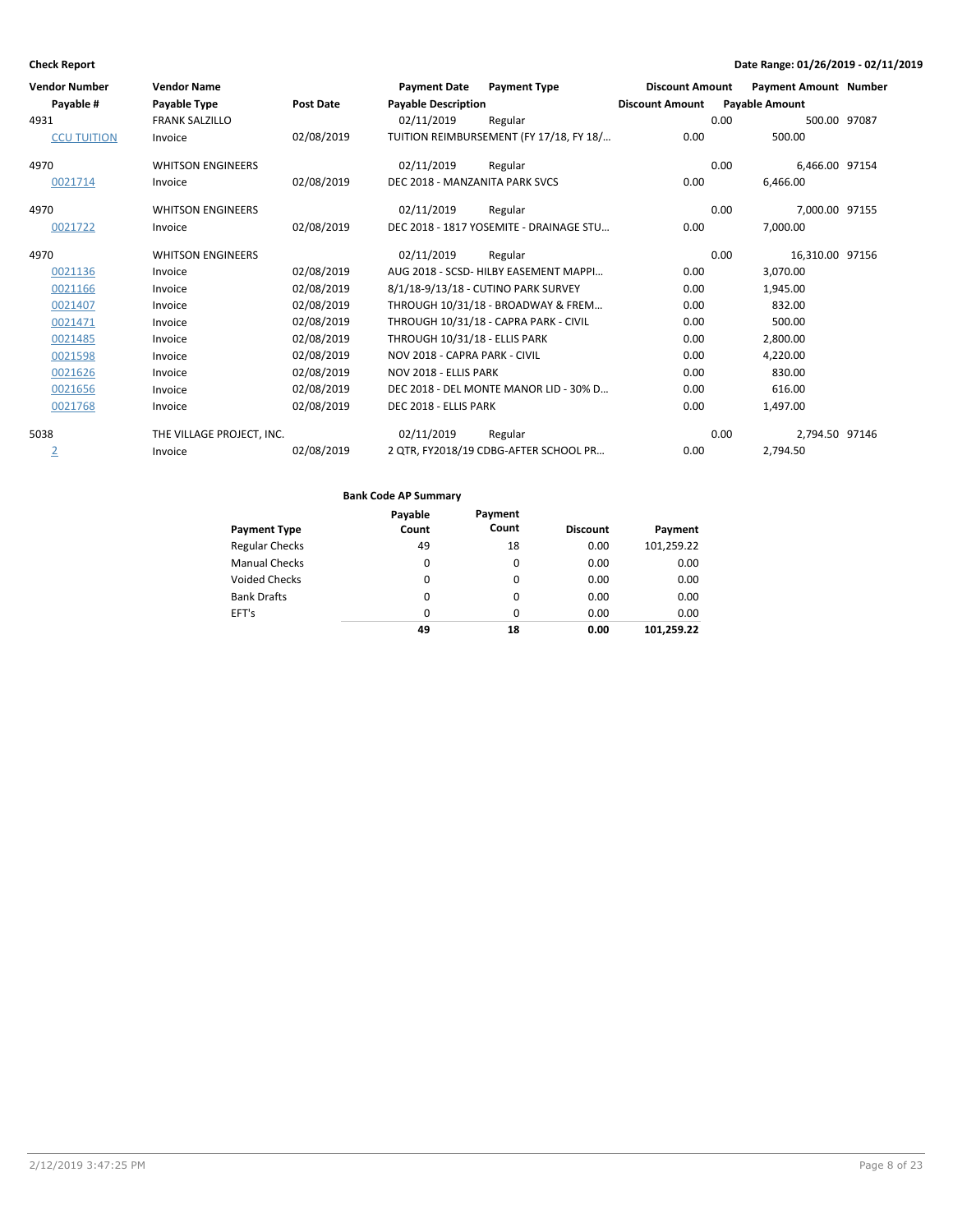| <b>Vendor Number</b> | <b>Vendor Name</b>        |                  | <b>Payment Date</b>            | <b>Payment Type</b>                     | <b>Discount Amount</b> | <b>Payment Amount Number</b> |  |
|----------------------|---------------------------|------------------|--------------------------------|-----------------------------------------|------------------------|------------------------------|--|
| Payable #            | Payable Type              | <b>Post Date</b> | <b>Payable Description</b>     |                                         | <b>Discount Amount</b> | <b>Payable Amount</b>        |  |
| 4931                 | <b>FRANK SALZILLO</b>     |                  | 02/11/2019                     | Regular                                 | 0.00                   | 500.00 97087                 |  |
| <b>CCU TUITION</b>   | Invoice                   | 02/08/2019       |                                | TUITION REIMBURSEMENT (FY 17/18, FY 18/ | 0.00                   | 500.00                       |  |
| 4970                 | <b>WHITSON ENGINEERS</b>  |                  | 02/11/2019                     | Regular                                 | 0.00                   | 6,466.00 97154               |  |
| 0021714              | Invoice                   | 02/08/2019       | DEC 2018 - MANZANITA PARK SVCS |                                         | 0.00                   | 6.466.00                     |  |
| 4970                 | <b>WHITSON ENGINEERS</b>  |                  | 02/11/2019                     | Regular                                 | 0.00                   | 7,000.00 97155               |  |
| 0021722              | Invoice                   | 02/08/2019       |                                | DEC 2018 - 1817 YOSEMITE - DRAINAGE STU | 0.00                   | 7,000.00                     |  |
| 4970                 | <b>WHITSON ENGINEERS</b>  |                  | 02/11/2019                     | Regular                                 | 0.00                   | 16,310.00 97156              |  |
| 0021136              | Invoice                   | 02/08/2019       |                                | AUG 2018 - SCSD- HILBY EASEMENT MAPPI   | 0.00                   | 3,070.00                     |  |
| 0021166              | Invoice                   | 02/08/2019       |                                | 8/1/18-9/13/18 - CUTINO PARK SURVEY     | 0.00                   | 1,945.00                     |  |
| 0021407              | Invoice                   | 02/08/2019       |                                | THROUGH 10/31/18 - BROADWAY & FREM      | 0.00                   | 832.00                       |  |
| 0021471              | Invoice                   | 02/08/2019       |                                | THROUGH 10/31/18 - CAPRA PARK - CIVIL   | 0.00                   | 500.00                       |  |
| 0021485              | Invoice                   | 02/08/2019       | THROUGH 10/31/18 - ELLIS PARK  |                                         | 0.00                   | 2,800.00                     |  |
| 0021598              | Invoice                   | 02/08/2019       | NOV 2018 - CAPRA PARK - CIVIL  |                                         | 0.00                   | 4.220.00                     |  |
| 0021626              | Invoice                   | 02/08/2019       | NOV 2018 - ELLIS PARK          |                                         | 0.00                   | 830.00                       |  |
| 0021656              | Invoice                   | 02/08/2019       |                                | DEC 2018 - DEL MONTE MANOR LID - 30% D  | 0.00                   | 616.00                       |  |
| 0021768              | Invoice                   | 02/08/2019       | DEC 2018 - ELLIS PARK          |                                         | 0.00                   | 1,497.00                     |  |
| 5038                 | THE VILLAGE PROJECT, INC. |                  | 02/11/2019                     | Regular                                 | 0.00                   | 2,794.50 97146               |  |
| $\overline{2}$       | Invoice                   | 02/08/2019       |                                | 2 QTR, FY2018/19 CDBG-AFTER SCHOOL PR   | 0.00                   | 2,794.50                     |  |

|                       | Payable  | Payment  |                 |            |
|-----------------------|----------|----------|-----------------|------------|
| <b>Payment Type</b>   | Count    | Count    | <b>Discount</b> | Payment    |
| <b>Regular Checks</b> | 49       | 18       | 0.00            | 101,259.22 |
| <b>Manual Checks</b>  | 0        | 0        | 0.00            | 0.00       |
| <b>Voided Checks</b>  | 0        | 0        | 0.00            | 0.00       |
| <b>Bank Drafts</b>    | 0        | 0        | 0.00            | 0.00       |
| EFT's                 | $\Omega$ | $\Omega$ | 0.00            | 0.00       |
|                       | 49       | 18       | 0.00            | 101.259.22 |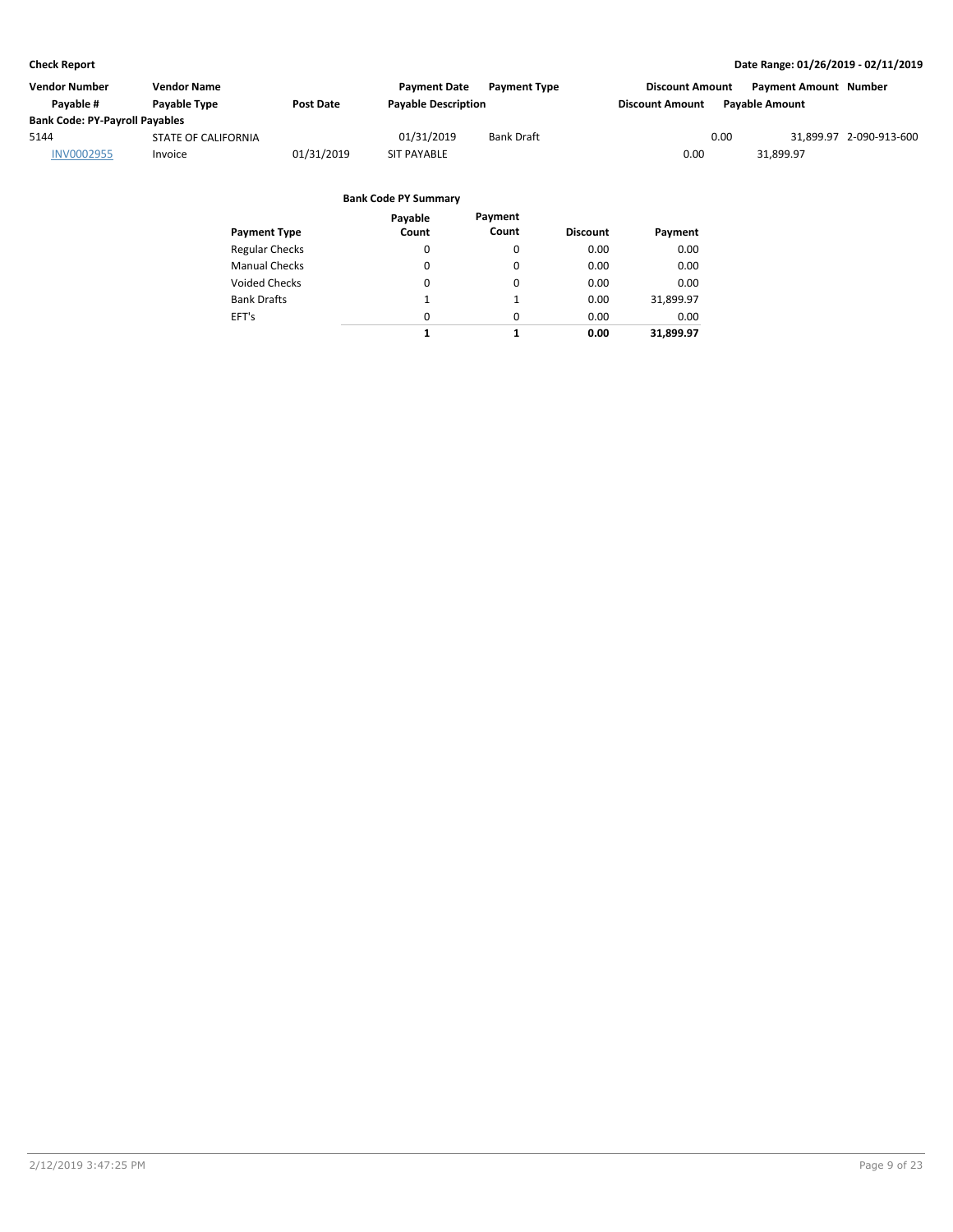| Vendor Number                         | Vendor Name                |                  | <b>Payment Date</b>        | <b>Payment Type</b> | <b>Discount Amount</b> | <b>Payment Amount Number</b> |                         |
|---------------------------------------|----------------------------|------------------|----------------------------|---------------------|------------------------|------------------------------|-------------------------|
| Pavable #                             | Payable Type               | <b>Post Date</b> | <b>Payable Description</b> |                     | <b>Discount Amount</b> | Pavable Amount               |                         |
| <b>Bank Code: PY-Payroll Payables</b> |                            |                  |                            |                     |                        |                              |                         |
| 5144                                  | <b>STATE OF CALIFORNIA</b> |                  | 01/31/2019                 | <b>Bank Draft</b>   | 0.00                   |                              | 31,899.97 2-090-913-600 |
| <b>INV0002955</b>                     | Invoice                    | 01/31/2019       | <b>SIT PAYABLE</b>         |                     | 0.00                   | 31.899.97                    |                         |
|                                       |                            |                  |                            |                     |                        |                              |                         |

|                       | Payable  | Payment  |                 |           |
|-----------------------|----------|----------|-----------------|-----------|
| <b>Payment Type</b>   | Count    | Count    | <b>Discount</b> | Payment   |
| <b>Regular Checks</b> | 0        | 0        | 0.00            | 0.00      |
| <b>Manual Checks</b>  | 0        | 0        | 0.00            | 0.00      |
| <b>Voided Checks</b>  | 0        | $\Omega$ | 0.00            | 0.00      |
| <b>Bank Drafts</b>    | 1        |          | 0.00            | 31,899.97 |
| EFT's                 | $\Omega$ | $\Omega$ | 0.00            | 0.00      |
|                       | 1        | 1        | 0.00            | 31.899.97 |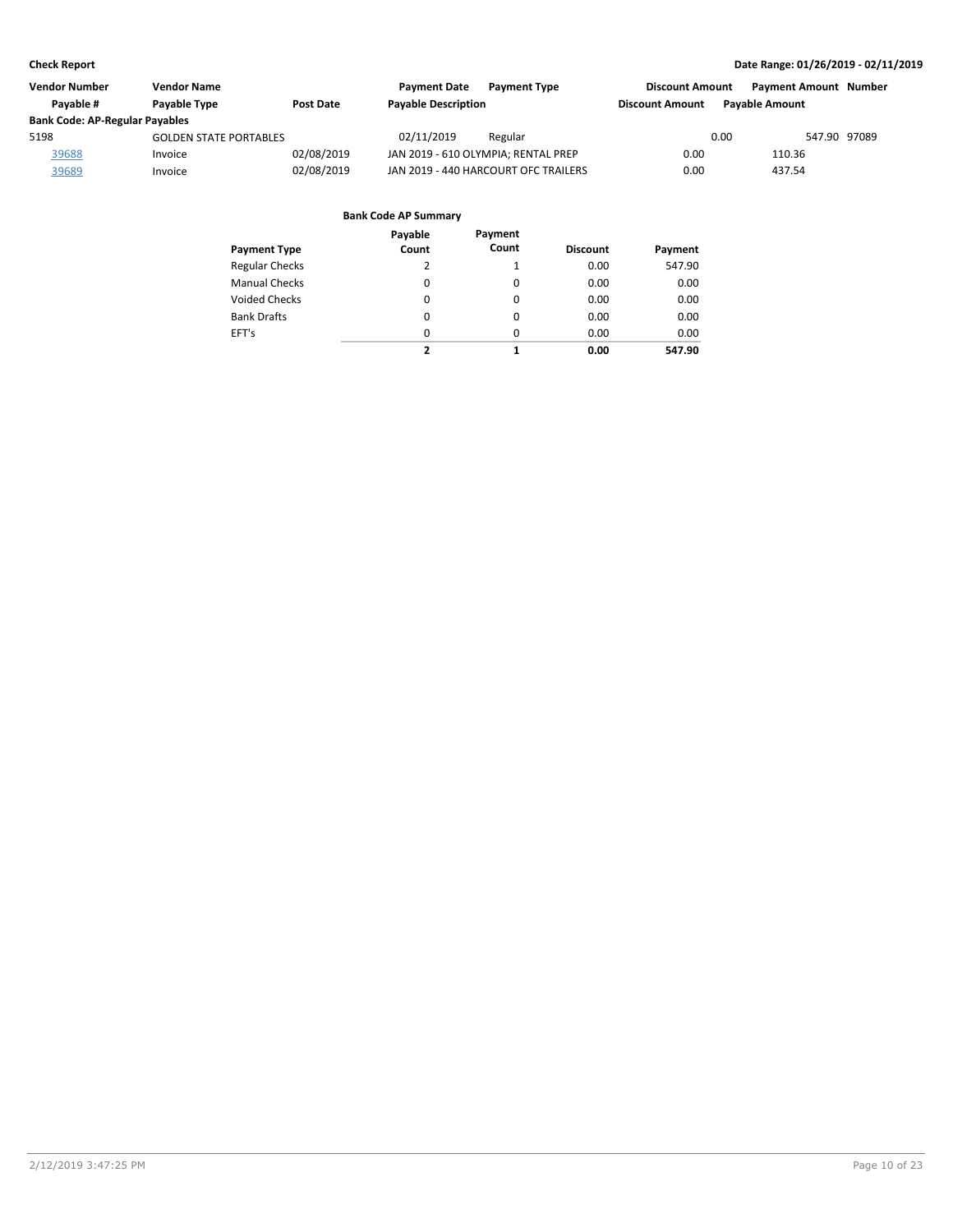| <b>Vendor Number</b>                  | Vendor Name                   |                  | <b>Payment Date</b><br><b>Payment Type</b> | <b>Discount Amount</b> | <b>Payment Amount Number</b> |
|---------------------------------------|-------------------------------|------------------|--------------------------------------------|------------------------|------------------------------|
| Pavable #                             | Payable Type                  | <b>Post Date</b> | <b>Payable Description</b>                 | <b>Discount Amount</b> | <b>Pavable Amount</b>        |
| <b>Bank Code: AP-Regular Payables</b> |                               |                  |                                            |                        |                              |
| 5198                                  | <b>GOLDEN STATE PORTABLES</b> |                  | 02/11/2019<br>Regular                      | 0.00                   | 547.90 97089                 |
| 39688                                 | Invoice                       | 02/08/2019       | JAN 2019 - 610 OLYMPIA; RENTAL PREP        | 0.00                   | 110.36                       |
| 39689                                 | Invoice                       | 02/08/2019       | JAN 2019 - 440 HARCOURT OFC TRAILERS       | 0.00                   | 437.54                       |

| Payment Type          | Payable<br>Count | Payment<br>Count | <b>Discount</b> | Payment |
|-----------------------|------------------|------------------|-----------------|---------|
| <b>Regular Checks</b> | 2                | $\mathbf{1}$     | 0.00            | 547.90  |
| <b>Manual Checks</b>  | 0                | 0                | 0.00            | 0.00    |
| <b>Voided Checks</b>  | 0                | 0                | 0.00            | 0.00    |
| <b>Bank Drafts</b>    | 0                | $\Omega$         | 0.00            | 0.00    |
| EFT's                 | 0                | $\Omega$         | 0.00            | 0.00    |
|                       | 2                | 1                | 0.00            | 547.90  |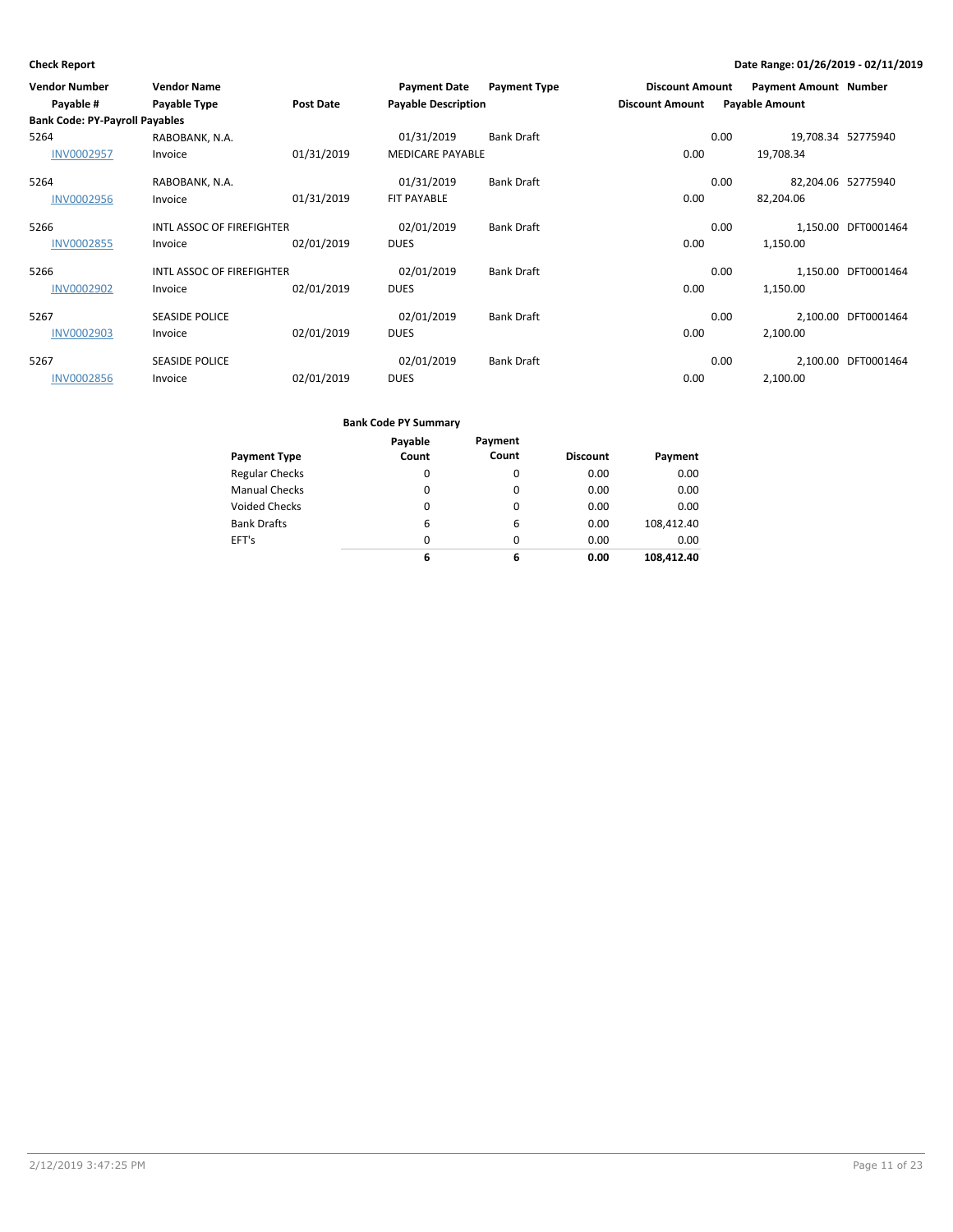| <b>Vendor Number</b><br>Payable #     | <b>Vendor Name</b><br>Payable Type | <b>Post Date</b> | <b>Payment Date</b><br><b>Payable Description</b> | <b>Payment Type</b> | <b>Discount Amount</b><br><b>Discount Amount</b> | <b>Payment Amount Number</b><br><b>Payable Amount</b> |                     |
|---------------------------------------|------------------------------------|------------------|---------------------------------------------------|---------------------|--------------------------------------------------|-------------------------------------------------------|---------------------|
| <b>Bank Code: PY-Payroll Payables</b> |                                    |                  |                                                   |                     |                                                  |                                                       |                     |
| 5264                                  | RABOBANK, N.A.                     |                  | 01/31/2019                                        | <b>Bank Draft</b>   |                                                  | 0.00<br>19,708.34 52775940                            |                     |
| <b>INV0002957</b>                     | Invoice                            | 01/31/2019       | <b>MEDICARE PAYABLE</b>                           |                     | 0.00                                             | 19,708.34                                             |                     |
| 5264                                  | RABOBANK, N.A.                     |                  | 01/31/2019                                        | <b>Bank Draft</b>   |                                                  | 0.00<br>82,204.06 52775940                            |                     |
| <b>INV0002956</b>                     | Invoice                            | 01/31/2019       | <b>FIT PAYABLE</b>                                |                     | 0.00                                             | 82,204.06                                             |                     |
| 5266                                  | INTL ASSOC OF FIREFIGHTER          |                  | 02/01/2019                                        | <b>Bank Draft</b>   |                                                  | 0.00                                                  | 1,150.00 DFT0001464 |
| <b>INV0002855</b>                     | Invoice                            | 02/01/2019       | <b>DUES</b>                                       |                     | 0.00                                             | 1,150.00                                              |                     |
| 5266                                  | INTL ASSOC OF FIREFIGHTER          |                  | 02/01/2019                                        | <b>Bank Draft</b>   |                                                  | 0.00                                                  | 1,150.00 DFT0001464 |
| <b>INV0002902</b>                     | Invoice                            | 02/01/2019       | <b>DUES</b>                                       |                     | 0.00                                             | 1,150.00                                              |                     |
| 5267                                  | <b>SEASIDE POLICE</b>              |                  | 02/01/2019                                        | <b>Bank Draft</b>   |                                                  | 0.00                                                  | 2,100.00 DFT0001464 |
| <b>INV0002903</b>                     | Invoice                            | 02/01/2019       | <b>DUES</b>                                       |                     | 0.00                                             | 2,100.00                                              |                     |
| 5267                                  | <b>SEASIDE POLICE</b>              |                  | 02/01/2019                                        | <b>Bank Draft</b>   |                                                  | 0.00                                                  | 2,100.00 DFT0001464 |
| <b>INV0002856</b>                     | Invoice                            | 02/01/2019       | <b>DUES</b>                                       |                     | 0.00                                             | 2,100.00                                              |                     |

| Payment Type          | Payable<br>Count | Payment<br>Count | <b>Discount</b> | Payment    |
|-----------------------|------------------|------------------|-----------------|------------|
| <b>Regular Checks</b> | 0                | 0                | 0.00            | 0.00       |
| <b>Manual Checks</b>  | 0                | 0                | 0.00            | 0.00       |
| <b>Voided Checks</b>  | 0                | $\Omega$         | 0.00            | 0.00       |
| <b>Bank Drafts</b>    | 6                | 6                | 0.00            | 108,412.40 |
| EFT's                 | $\Omega$         | $\Omega$         | 0.00            | 0.00       |
|                       | 6                | 6                | 0.00            | 108.412.40 |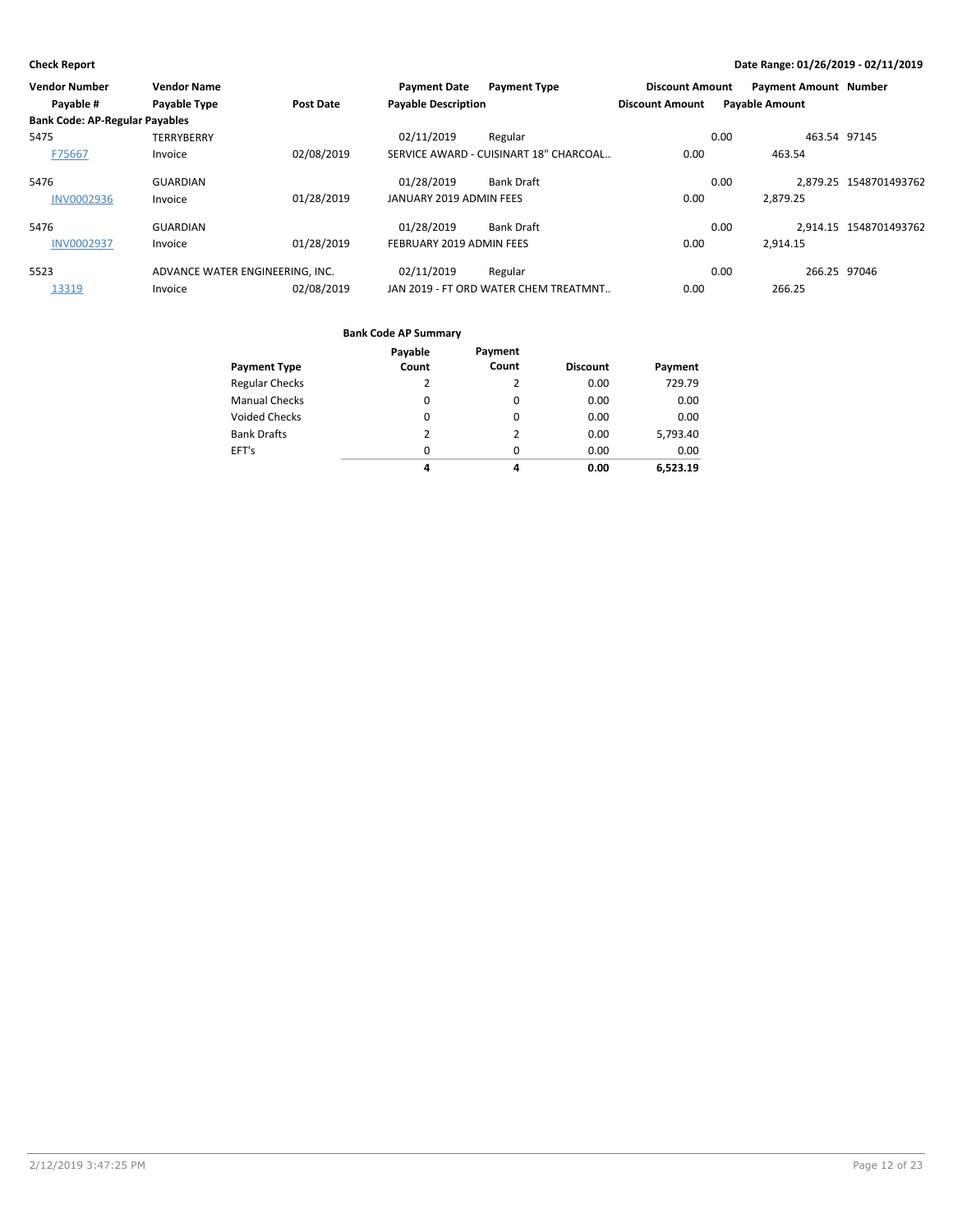| Vendor Number                         | <b>Vendor Name</b>              |                  | <b>Payment Date</b>        | <b>Payment Type</b>                    | <b>Discount Amount</b> |      | <b>Payment Amount Number</b> |                        |
|---------------------------------------|---------------------------------|------------------|----------------------------|----------------------------------------|------------------------|------|------------------------------|------------------------|
| Payable #                             | Payable Type                    | <b>Post Date</b> | <b>Payable Description</b> |                                        | <b>Discount Amount</b> |      | <b>Payable Amount</b>        |                        |
| <b>Bank Code: AP-Regular Payables</b> |                                 |                  |                            |                                        |                        |      |                              |                        |
| 5475                                  | <b>TERRYBERRY</b>               |                  | 02/11/2019                 | Regular                                |                        | 0.00 | 463.54 97145                 |                        |
| F75667                                | Invoice                         | 02/08/2019       |                            | SERVICE AWARD - CUISINART 18" CHARCOAL | 0.00                   |      | 463.54                       |                        |
| 5476                                  | <b>GUARDIAN</b>                 |                  | 01/28/2019                 | <b>Bank Draft</b>                      |                        | 0.00 |                              | 2.879.25 1548701493762 |
| <b>INV0002936</b>                     | Invoice                         | 01/28/2019       | JANUARY 2019 ADMIN FEES    |                                        | 0.00                   |      | 2.879.25                     |                        |
| 5476                                  | <b>GUARDIAN</b>                 |                  | 01/28/2019                 | <b>Bank Draft</b>                      |                        | 0.00 |                              | 2,914.15 1548701493762 |
| <b>INV0002937</b>                     | Invoice                         | 01/28/2019       | FEBRUARY 2019 ADMIN FEES   |                                        | 0.00                   |      | 2.914.15                     |                        |
| 5523                                  | ADVANCE WATER ENGINEERING. INC. |                  | 02/11/2019                 | Regular                                |                        | 0.00 | 266.25 97046                 |                        |
| 13319                                 | Invoice                         | 02/08/2019       |                            | JAN 2019 - FT ORD WATER CHEM TREATMNT  | 0.00                   |      | 266.25                       |                        |

|                       | Payable  | Payment  |                 |          |
|-----------------------|----------|----------|-----------------|----------|
| <b>Payment Type</b>   | Count    | Count    | <b>Discount</b> | Payment  |
| <b>Regular Checks</b> | 2        | 2        | 0.00            | 729.79   |
| <b>Manual Checks</b>  | $\Omega$ | 0        | 0.00            | 0.00     |
| <b>Voided Checks</b>  | 0        | 0        | 0.00            | 0.00     |
| <b>Bank Drafts</b>    | 2        | 2        | 0.00            | 5,793.40 |
| EFT's                 | $\Omega$ | $\Omega$ | 0.00            | 0.00     |
|                       | 4        | 4        | 0.00            | 6.523.19 |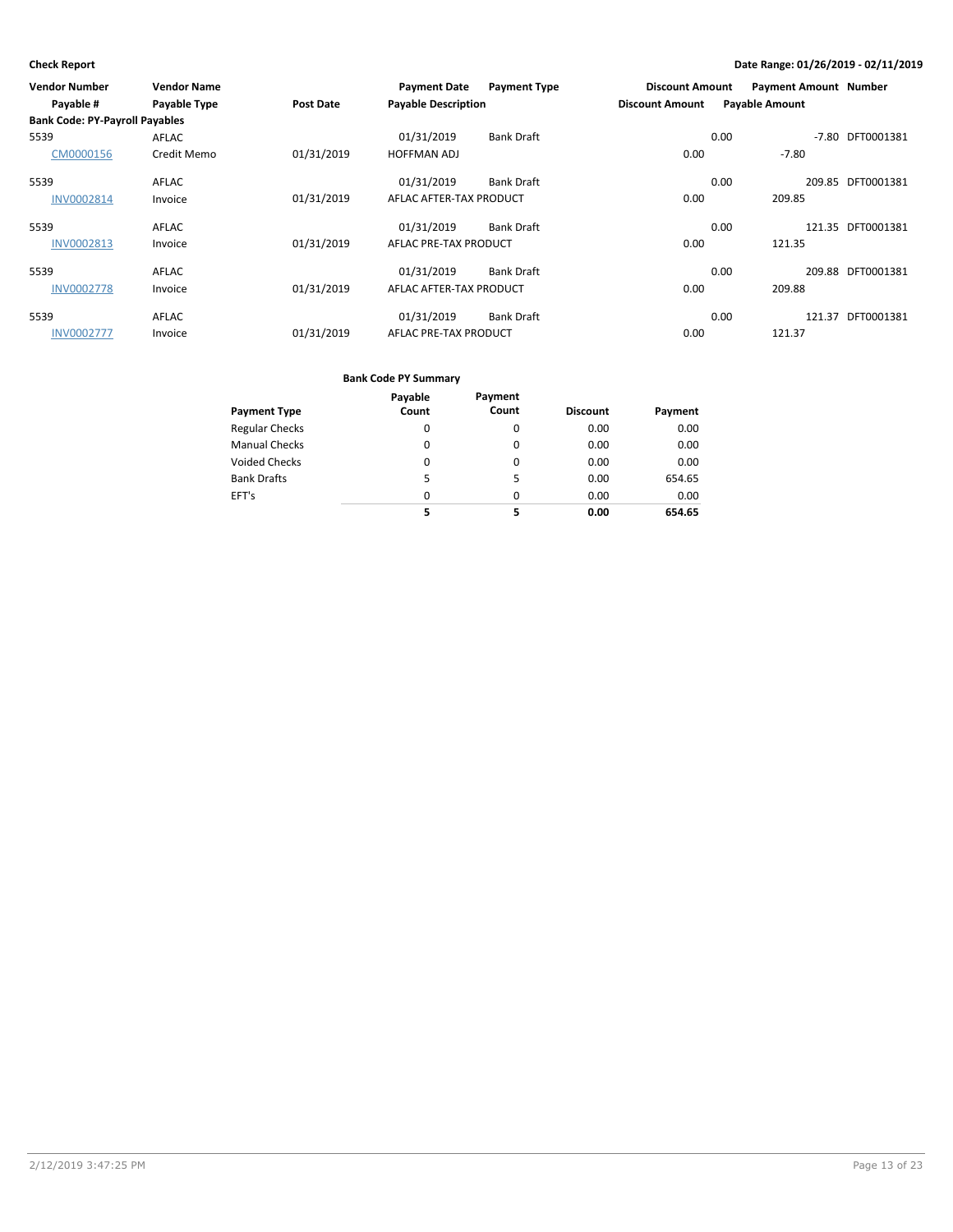| Vendor Number                         | <b>Vendor Name</b>  |            | <b>Payment Date</b>        | <b>Payment Type</b> | <b>Discount Amount</b> | <b>Payment Amount Number</b> |                   |
|---------------------------------------|---------------------|------------|----------------------------|---------------------|------------------------|------------------------------|-------------------|
| Payable #                             | <b>Payable Type</b> | Post Date  | <b>Payable Description</b> |                     | <b>Discount Amount</b> | <b>Payable Amount</b>        |                   |
| <b>Bank Code: PY-Payroll Payables</b> |                     |            |                            |                     |                        |                              |                   |
| 5539                                  | AFLAC               |            | 01/31/2019                 | <b>Bank Draft</b>   |                        | 0.00<br>$-7.80$              | DFT0001381        |
| CM0000156                             | Credit Memo         | 01/31/2019 | <b>HOFFMAN ADJ</b>         |                     | 0.00                   | $-7.80$                      |                   |
| 5539                                  | AFLAC               |            | 01/31/2019                 | <b>Bank Draft</b>   |                        | 0.00                         | 209.85 DFT0001381 |
| <b>INV0002814</b>                     | Invoice             | 01/31/2019 | AFLAC AFTER-TAX PRODUCT    |                     | 0.00                   | 209.85                       |                   |
| 5539                                  | AFLAC               |            | 01/31/2019                 | <b>Bank Draft</b>   |                        | 0.00<br>121.35               | DFT0001381        |
| INV0002813                            | Invoice             | 01/31/2019 | AFLAC PRE-TAX PRODUCT      |                     | 0.00                   | 121.35                       |                   |
| 5539                                  | AFLAC               |            | 01/31/2019                 | <b>Bank Draft</b>   |                        | 0.00                         | 209.88 DFT0001381 |
| <b>INV0002778</b>                     | Invoice             | 01/31/2019 | AFLAC AFTER-TAX PRODUCT    |                     | 0.00                   | 209.88                       |                   |
| 5539                                  | AFLAC               |            | 01/31/2019                 | <b>Bank Draft</b>   |                        | 0.00<br>121.37               | DFT0001381        |
| <b>INV0002777</b>                     | Invoice             | 01/31/2019 | AFLAC PRE-TAX PRODUCT      |                     | 0.00                   | 121.37                       |                   |

|                       | Payable  | Payment  |                 |         |
|-----------------------|----------|----------|-----------------|---------|
| <b>Payment Type</b>   | Count    | Count    | <b>Discount</b> | Payment |
| <b>Regular Checks</b> | 0        | 0        | 0.00            | 0.00    |
| <b>Manual Checks</b>  | 0        | 0        | 0.00            | 0.00    |
| <b>Voided Checks</b>  | 0        | 0        | 0.00            | 0.00    |
| <b>Bank Drafts</b>    | 5        | 5        | 0.00            | 654.65  |
| EFT's                 | $\Omega$ | $\Omega$ | 0.00            | 0.00    |
|                       |          | 5        | 0.00            | 654.65  |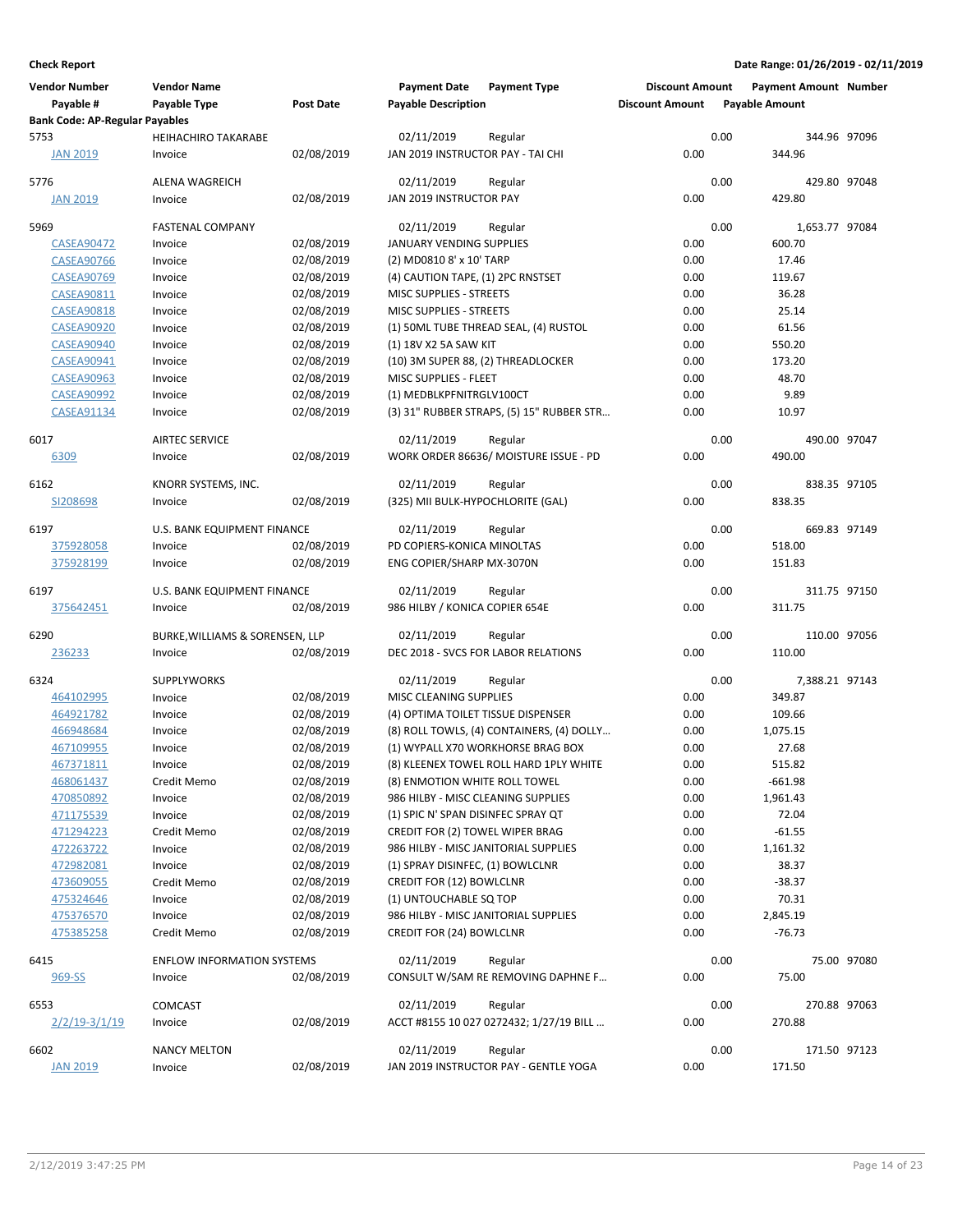| <b>Vendor Number</b><br>Payable #     | <b>Vendor Name</b><br>Payable Type           | <b>Post Date</b> | <b>Payment Date</b><br><b>Payable Description</b> | <b>Payment Type</b>                           | <b>Discount Amount</b><br><b>Discount Amount</b> |      | <b>Payment Amount Number</b><br><b>Payable Amount</b> |             |
|---------------------------------------|----------------------------------------------|------------------|---------------------------------------------------|-----------------------------------------------|--------------------------------------------------|------|-------------------------------------------------------|-------------|
| <b>Bank Code: AP-Regular Payables</b> |                                              |                  |                                                   |                                               |                                                  |      |                                                       |             |
| 5753<br><b>JAN 2019</b>               | <b>HEIHACHIRO TAKARABE</b><br>Invoice        | 02/08/2019       | 02/11/2019<br>JAN 2019 INSTRUCTOR PAY - TAI CHI   | Regular                                       | 0.00                                             | 0.00 | 344.96 97096<br>344.96                                |             |
| 5776                                  | <b>ALENA WAGREICH</b>                        |                  | 02/11/2019                                        |                                               |                                                  | 0.00 | 429.80 97048                                          |             |
| <b>JAN 2019</b>                       | Invoice                                      | 02/08/2019       | JAN 2019 INSTRUCTOR PAY                           | Regular                                       | 0.00                                             |      | 429.80                                                |             |
|                                       |                                              |                  |                                                   |                                               |                                                  |      |                                                       |             |
| 5969                                  | <b>FASTENAL COMPANY</b>                      |                  | 02/11/2019                                        | Regular                                       |                                                  | 0.00 | 1,653.77 97084                                        |             |
| <b>CASEA90472</b>                     | Invoice                                      | 02/08/2019       | JANUARY VENDING SUPPLIES                          |                                               | 0.00                                             |      | 600.70                                                |             |
| <b>CASEA90766</b>                     | Invoice                                      | 02/08/2019       | (2) MD0810 8' x 10' TARP                          |                                               | 0.00                                             |      | 17.46                                                 |             |
| <b>CASEA90769</b>                     | Invoice                                      | 02/08/2019       | (4) CAUTION TAPE, (1) 2PC RNSTSET                 |                                               | 0.00                                             |      | 119.67                                                |             |
| <b>CASEA90811</b>                     | Invoice                                      | 02/08/2019       | MISC SUPPLIES - STREETS                           |                                               | 0.00                                             |      | 36.28                                                 |             |
| <b>CASEA90818</b>                     | Invoice                                      | 02/08/2019       | <b>MISC SUPPLIES - STREETS</b>                    |                                               | 0.00                                             |      | 25.14                                                 |             |
| <b>CASEA90920</b>                     | Invoice                                      | 02/08/2019       |                                                   | (1) 50ML TUBE THREAD SEAL, (4) RUSTOL         | 0.00                                             |      | 61.56                                                 |             |
| <b>CASEA90940</b>                     | Invoice                                      | 02/08/2019       | (1) 18V X2 5A SAW KIT                             |                                               | 0.00                                             |      | 550.20                                                |             |
| CASEA90941                            | Invoice                                      | 02/08/2019       | (10) 3M SUPER 88, (2) THREADLOCKER                |                                               | 0.00                                             |      | 173.20                                                |             |
| <b>CASEA90963</b>                     | Invoice                                      | 02/08/2019       | MISC SUPPLIES - FLEET                             |                                               | 0.00                                             |      | 48.70                                                 |             |
| <b>CASEA90992</b>                     | Invoice                                      | 02/08/2019       | (1) MEDBLKPFNITRGLV100CT                          |                                               | 0.00                                             |      | 9.89                                                  |             |
| <b>CASEA91134</b>                     | Invoice                                      | 02/08/2019       |                                                   | (3) 31" RUBBER STRAPS, (5) 15" RUBBER STR     | 0.00                                             |      | 10.97                                                 |             |
| 6017                                  | <b>AIRTEC SERVICE</b>                        |                  | 02/11/2019                                        | Regular                                       |                                                  | 0.00 | 490.00 97047                                          |             |
| 6309                                  | Invoice                                      | 02/08/2019       |                                                   | WORK ORDER 86636/ MOISTURE ISSUE - PD         | 0.00                                             |      | 490.00                                                |             |
| 6162                                  | KNORR SYSTEMS, INC.                          |                  | 02/11/2019                                        | Regular                                       |                                                  | 0.00 | 838.35 97105                                          |             |
| SI208698                              | Invoice                                      | 02/08/2019       | (325) MII BULK-HYPOCHLORITE (GAL)                 |                                               | 0.00                                             |      | 838.35                                                |             |
| 6197                                  | U.S. BANK EQUIPMENT FINANCE                  |                  | 02/11/2019                                        |                                               |                                                  | 0.00 | 669.83 97149                                          |             |
|                                       | Invoice                                      | 02/08/2019       | PD COPIERS-KONICA MINOLTAS                        | Regular                                       | 0.00                                             |      | 518.00                                                |             |
| 375928058<br>375928199                | Invoice                                      | 02/08/2019       | ENG COPIER/SHARP MX-3070N                         |                                               | 0.00                                             |      | 151.83                                                |             |
|                                       |                                              |                  |                                                   |                                               |                                                  |      |                                                       |             |
| 6197                                  | U.S. BANK EQUIPMENT FINANCE                  |                  | 02/11/2019                                        | Regular                                       |                                                  | 0.00 | 311.75 97150                                          |             |
| 375642451                             | Invoice                                      | 02/08/2019       | 986 HILBY / KONICA COPIER 654E                    |                                               | 0.00                                             |      | 311.75                                                |             |
| 6290                                  | BURKE, WILLIAMS & SORENSEN, LLP              |                  | 02/11/2019                                        | Regular                                       |                                                  | 0.00 | 110.00 97056                                          |             |
| 236233                                | Invoice                                      | 02/08/2019       |                                                   | DEC 2018 - SVCS FOR LABOR RELATIONS           | 0.00                                             |      | 110.00                                                |             |
| 6324                                  | <b>SUPPLYWORKS</b>                           |                  | 02/11/2019                                        | Regular                                       |                                                  | 0.00 | 7,388.21 97143                                        |             |
| 464102995                             | Invoice                                      | 02/08/2019       | MISC CLEANING SUPPLIES                            |                                               | 0.00                                             |      | 349.87                                                |             |
| 464921782                             | Invoice                                      | 02/08/2019       | (4) OPTIMA TOILET TISSUE DISPENSER                |                                               | 0.00                                             |      | 109.66                                                |             |
| 466948684                             | Invoice                                      | 02/08/2019       |                                                   | (8) ROLL TOWLS, (4) CONTAINERS, (4) DOLLY     | 0.00                                             |      | 1,075.15                                              |             |
| 467109955                             | Invoice                                      | 02/08/2019       |                                                   | (1) WYPALL X70 WORKHORSE BRAG BOX             | 0.00                                             |      | 27.68                                                 |             |
| 467371811                             | Invoice                                      | 02/08/2019       |                                                   | (8) KLEENEX TOWEL ROLL HARD 1PLY WHITE        | 0.00                                             |      | 515.82                                                |             |
| 468061437                             | Credit Memo                                  | 02/08/2019       | (8) ENMOTION WHITE ROLL TOWEL                     |                                               | 0.00                                             |      | $-661.98$                                             |             |
| 470850892                             | Invoice                                      | 02/08/2019       | 986 HILBY - MISC CLEANING SUPPLIES                |                                               | 0.00                                             |      | 1,961.43                                              |             |
| 471175539                             | Invoice                                      | 02/08/2019       | (1) SPIC N' SPAN DISINFEC SPRAY QT                |                                               | 0.00                                             |      | 72.04                                                 |             |
| 471294223                             | Credit Memo                                  | 02/08/2019       | CREDIT FOR (2) TOWEL WIPER BRAG                   |                                               | 0.00                                             |      | $-61.55$                                              |             |
| 472263722                             | Invoice                                      | 02/08/2019       |                                                   | 986 HILBY - MISC JANITORIAL SUPPLIES          | 0.00                                             |      | 1,161.32                                              |             |
| 472982081                             | Invoice                                      | 02/08/2019       | (1) SPRAY DISINFEC, (1) BOWLCLNR                  |                                               | 0.00                                             |      | 38.37                                                 |             |
| 473609055                             | Credit Memo                                  | 02/08/2019       | <b>CREDIT FOR (12) BOWLCLNR</b>                   |                                               | 0.00                                             |      | $-38.37$                                              |             |
| 475324646                             | Invoice                                      | 02/08/2019       | (1) UNTOUCHABLE SQ TOP                            |                                               | 0.00                                             |      | 70.31                                                 |             |
| 475376570                             | Invoice                                      | 02/08/2019       |                                                   | 986 HILBY - MISC JANITORIAL SUPPLIES          | 0.00                                             |      | 2,845.19                                              |             |
| 475385258                             | Credit Memo                                  | 02/08/2019       | <b>CREDIT FOR (24) BOWLCLNR</b>                   |                                               | 0.00                                             |      | $-76.73$                                              |             |
|                                       |                                              |                  |                                                   |                                               |                                                  |      |                                                       |             |
| 6415<br>969-SS                        | <b>ENFLOW INFORMATION SYSTEMS</b><br>Invoice | 02/08/2019       | 02/11/2019                                        | Regular<br>CONSULT W/SAM RE REMOVING DAPHNE F | 0.00                                             | 0.00 | 75.00                                                 | 75.00 97080 |
|                                       |                                              |                  |                                                   |                                               |                                                  |      |                                                       |             |
| 6553                                  | COMCAST                                      |                  | 02/11/2019                                        | Regular                                       |                                                  | 0.00 | 270.88 97063                                          |             |
| $2/2/19-3/1/19$                       | Invoice                                      | 02/08/2019       |                                                   | ACCT #8155 10 027 0272432; 1/27/19 BILL       | 0.00                                             |      | 270.88                                                |             |
| 6602                                  | <b>NANCY MELTON</b>                          |                  | 02/11/2019                                        | Regular                                       |                                                  | 0.00 | 171.50 97123                                          |             |
| <b>JAN 2019</b>                       | Invoice                                      | 02/08/2019       |                                                   | JAN 2019 INSTRUCTOR PAY - GENTLE YOGA         | 0.00                                             |      | 171.50                                                |             |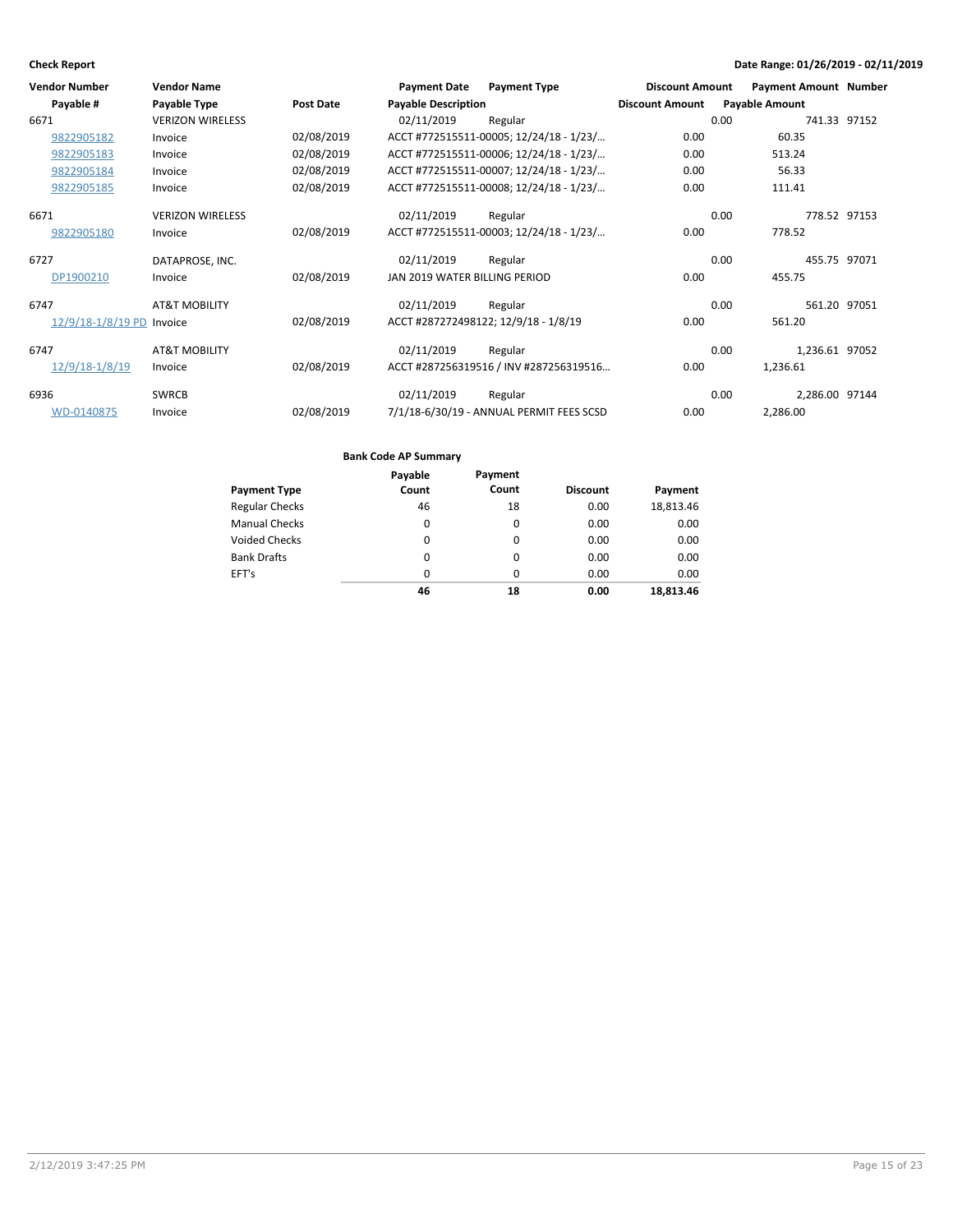| <b>Vendor Number</b>      | <b>Vendor Name</b>       |            | <b>Payment Date</b>           | <b>Payment Type</b>                      | <b>Discount Amount</b> | <b>Payment Amount Number</b> |              |
|---------------------------|--------------------------|------------|-------------------------------|------------------------------------------|------------------------|------------------------------|--------------|
| Payable #                 | Payable Type             | Post Date  | <b>Payable Description</b>    |                                          | <b>Discount Amount</b> | <b>Payable Amount</b>        |              |
| 6671                      | <b>VERIZON WIRELESS</b>  |            | 02/11/2019                    | Regular                                  |                        | 0.00                         | 741.33 97152 |
| 9822905182                | Invoice                  | 02/08/2019 |                               | ACCT #772515511-00005; 12/24/18 - 1/23/  | 0.00                   | 60.35                        |              |
| 9822905183                | Invoice                  | 02/08/2019 |                               | ACCT #772515511-00006; 12/24/18 - 1/23/  | 0.00                   | 513.24                       |              |
| 9822905184                | Invoice                  | 02/08/2019 |                               | ACCT #772515511-00007; 12/24/18 - 1/23/  | 0.00                   | 56.33                        |              |
| 9822905185                | Invoice                  | 02/08/2019 |                               | ACCT #772515511-00008; 12/24/18 - 1/23/  | 0.00                   | 111.41                       |              |
| 6671                      | <b>VERIZON WIRELESS</b>  |            | 02/11/2019                    | Regular                                  |                        | 0.00                         | 778.52 97153 |
| 9822905180                | Invoice                  | 02/08/2019 |                               | ACCT #772515511-00003; 12/24/18 - 1/23/  | 0.00                   | 778.52                       |              |
| 6727                      | DATAPROSE, INC.          |            | 02/11/2019                    | Regular                                  |                        | 0.00<br>455.75 97071         |              |
| DP1900210                 | Invoice                  | 02/08/2019 | JAN 2019 WATER BILLING PERIOD |                                          | 0.00                   | 455.75                       |              |
| 6747                      | <b>AT&amp;T MOBILITY</b> |            | 02/11/2019                    | Regular                                  |                        | 0.00                         | 561.20 97051 |
| 12/9/18-1/8/19 PD Invoice |                          | 02/08/2019 |                               | ACCT #287272498122; 12/9/18 - 1/8/19     | 0.00                   | 561.20                       |              |
| 6747                      | <b>AT&amp;T MOBILITY</b> |            | 02/11/2019                    | Regular                                  |                        | 0.00<br>1,236.61 97052       |              |
| 12/9/18-1/8/19            | Invoice                  | 02/08/2019 |                               | ACCT #287256319516 / INV #287256319516   | 0.00                   | 1,236.61                     |              |
| 6936                      | <b>SWRCB</b>             |            | 02/11/2019                    | Regular                                  |                        | 0.00<br>2,286.00 97144       |              |
| WD-0140875                | Invoice                  | 02/08/2019 |                               | 7/1/18-6/30/19 - ANNUAL PERMIT FEES SCSD | 0.00                   | 2,286.00                     |              |

|                       | Payable  | Payment  |                 |           |
|-----------------------|----------|----------|-----------------|-----------|
| <b>Payment Type</b>   | Count    | Count    | <b>Discount</b> | Payment   |
| <b>Regular Checks</b> | 46       | 18       | 0.00            | 18,813.46 |
| <b>Manual Checks</b>  | 0        | 0        | 0.00            | 0.00      |
| Voided Checks         | $\Omega$ | $\Omega$ | 0.00            | 0.00      |
| <b>Bank Drafts</b>    | 0        | 0        | 0.00            | 0.00      |
| EFT's                 | $\Omega$ | $\Omega$ | 0.00            | 0.00      |
|                       | 46       | 18       | 0.00            | 18.813.46 |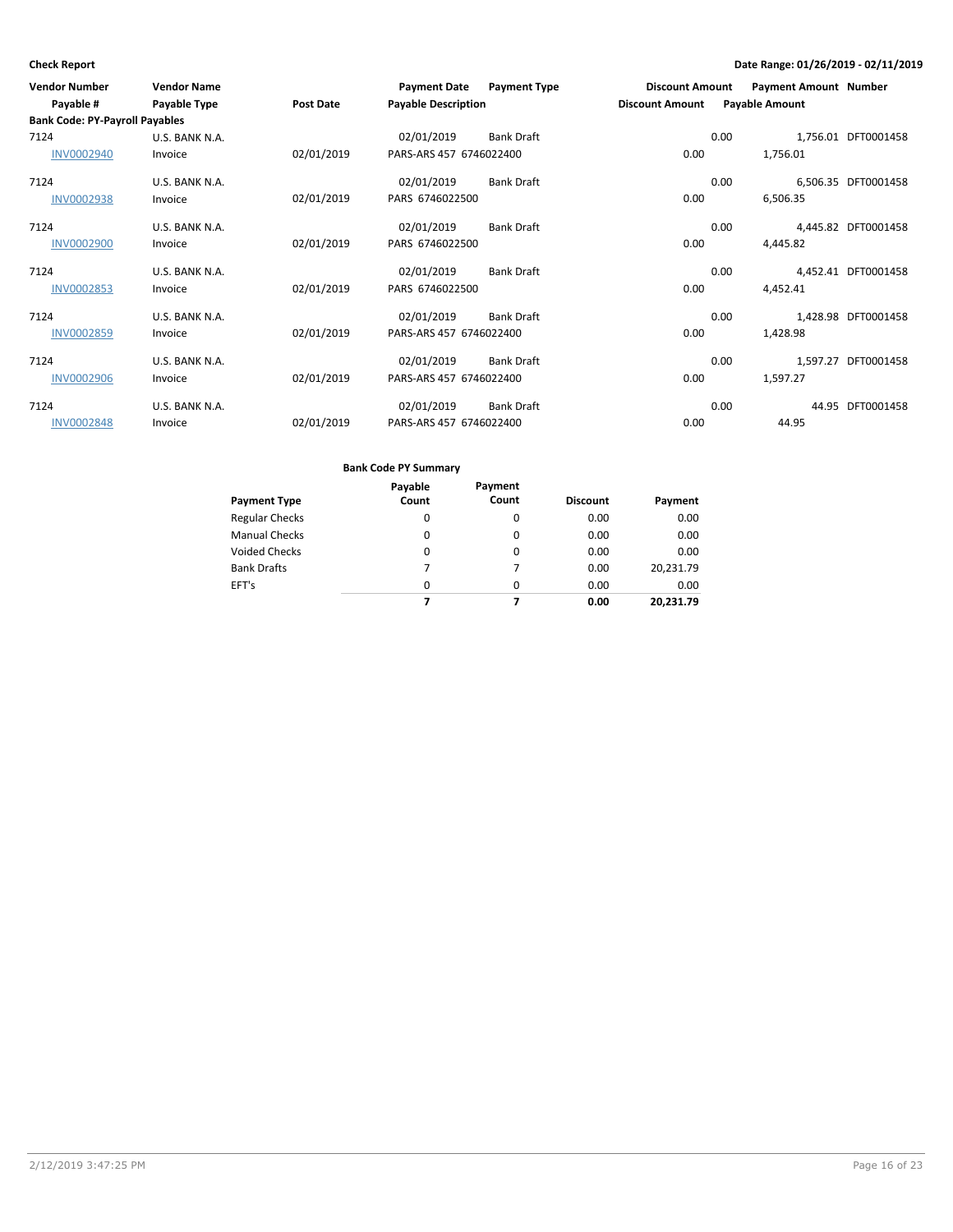| <b>Vendor Number</b>                  | <b>Vendor Name</b> |                  | <b>Payment Date</b>        | <b>Payment Type</b> | <b>Discount Amount</b> |      | <b>Payment Amount Number</b> |                     |
|---------------------------------------|--------------------|------------------|----------------------------|---------------------|------------------------|------|------------------------------|---------------------|
| Payable #                             | Payable Type       | <b>Post Date</b> | <b>Payable Description</b> |                     | <b>Discount Amount</b> |      | <b>Payable Amount</b>        |                     |
| <b>Bank Code: PY-Payroll Payables</b> |                    |                  |                            |                     |                        |      |                              |                     |
| 7124                                  | U.S. BANK N.A.     |                  | 02/01/2019                 | <b>Bank Draft</b>   |                        | 0.00 |                              | 1,756.01 DFT0001458 |
| <b>INV0002940</b>                     | Invoice            | 02/01/2019       | PARS-ARS 457 6746022400    |                     | 0.00                   |      | 1,756.01                     |                     |
| 7124                                  | U.S. BANK N.A.     |                  | 02/01/2019                 | <b>Bank Draft</b>   |                        | 0.00 |                              | 6,506.35 DFT0001458 |
| <b>INV0002938</b>                     | Invoice            | 02/01/2019       | PARS 6746022500            |                     | 0.00                   |      | 6,506.35                     |                     |
| 7124                                  | U.S. BANK N.A.     |                  | 02/01/2019                 | <b>Bank Draft</b>   |                        | 0.00 |                              | 4,445.82 DFT0001458 |
| <b>INV0002900</b>                     | Invoice            | 02/01/2019       | PARS 6746022500            |                     | 0.00                   |      | 4,445.82                     |                     |
| 7124                                  | U.S. BANK N.A.     |                  | 02/01/2019                 | Bank Draft          |                        | 0.00 |                              | 4,452.41 DFT0001458 |
| <b>INV0002853</b>                     | Invoice            | 02/01/2019       | PARS 6746022500            |                     | 0.00                   |      | 4,452.41                     |                     |
| 7124                                  | U.S. BANK N.A.     |                  | 02/01/2019                 | Bank Draft          |                        | 0.00 |                              | 1,428.98 DFT0001458 |
| <b>INV0002859</b>                     | Invoice            | 02/01/2019       | PARS-ARS 457 6746022400    |                     | 0.00                   |      | 1,428.98                     |                     |
| 7124                                  | U.S. BANK N.A.     |                  | 02/01/2019                 | Bank Draft          |                        | 0.00 |                              | 1,597.27 DFT0001458 |
| <b>INV0002906</b>                     | Invoice            | 02/01/2019       | PARS-ARS 457 6746022400    |                     | 0.00                   |      | 1,597.27                     |                     |
| 7124                                  | U.S. BANK N.A.     |                  | 02/01/2019                 | <b>Bank Draft</b>   |                        | 0.00 |                              | 44.95 DFT0001458    |
| <b>INV0002848</b>                     | Invoice            | 02/01/2019       | PARS-ARS 457 6746022400    |                     | 0.00                   |      | 44.95                        |                     |

| Payment Type       | Payable<br>Count | Payment<br>Count | <b>Discount</b> | Payment   |
|--------------------|------------------|------------------|-----------------|-----------|
| Regular Checks     | 0                | $\Omega$         | 0.00            | 0.00      |
| Manual Checks      | 0                | $\Omega$         | 0.00            | 0.00      |
| Voided Checks      | 0                | $\Omega$         | 0.00            | 0.00      |
| <b>Bank Drafts</b> | 7                | 7                | 0.00            | 20,231.79 |
| EFT's              | $\Omega$         | $\Omega$         | 0.00            | 0.00      |
|                    | 7                | 7                | 0.00            | 20.231.79 |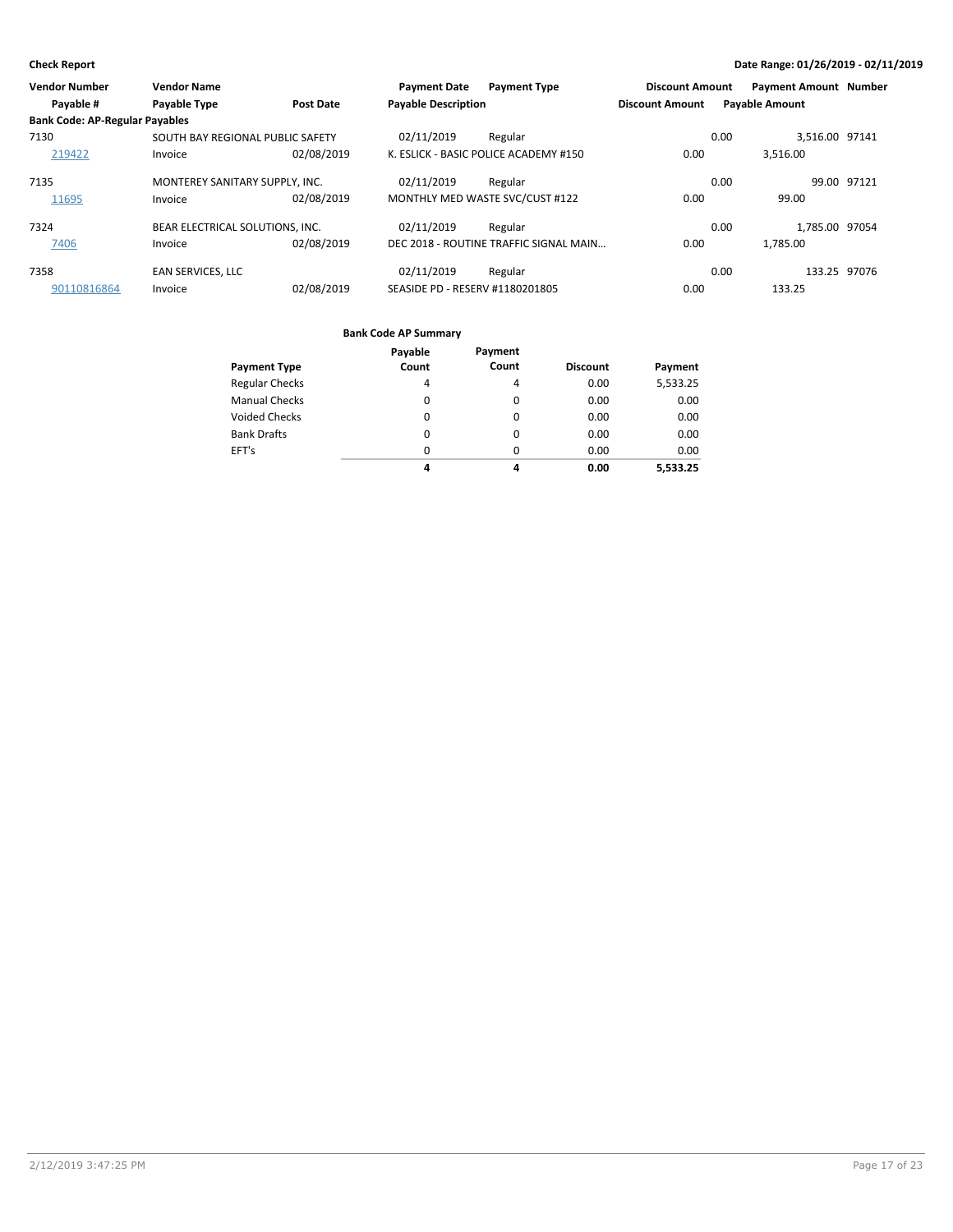| <b>Vendor Number</b>                  | <b>Vendor Name</b>               |                  | <b>Payment Date</b>             | <b>Payment Type</b>                    | <b>Discount Amount</b> | <b>Payment Amount Number</b> |              |
|---------------------------------------|----------------------------------|------------------|---------------------------------|----------------------------------------|------------------------|------------------------------|--------------|
| Payable #                             | Payable Type                     | <b>Post Date</b> | <b>Payable Description</b>      |                                        | <b>Discount Amount</b> | <b>Payable Amount</b>        |              |
| <b>Bank Code: AP-Regular Payables</b> |                                  |                  |                                 |                                        |                        |                              |              |
| 7130                                  | SOUTH BAY REGIONAL PUBLIC SAFETY |                  | 02/11/2019                      | Regular                                |                        | 3,516.00 97141<br>0.00       |              |
| 219422                                | Invoice                          | 02/08/2019       |                                 | K. ESLICK - BASIC POLICE ACADEMY #150  | 0.00                   | 3.516.00                     |              |
| 7135                                  | MONTEREY SANITARY SUPPLY, INC.   |                  | 02/11/2019                      | Regular                                |                        | 0.00                         | 99.00 97121  |
| 11695                                 | Invoice                          | 02/08/2019       |                                 | MONTHLY MED WASTE SVC/CUST #122        | 0.00                   | 99.00                        |              |
| 7324                                  | BEAR ELECTRICAL SOLUTIONS, INC.  |                  | 02/11/2019                      | Regular                                |                        | 1.785.00 97054<br>0.00       |              |
| 7406                                  | Invoice                          | 02/08/2019       |                                 | DEC 2018 - ROUTINE TRAFFIC SIGNAL MAIN | 0.00                   | 1.785.00                     |              |
| 7358                                  | <b>EAN SERVICES, LLC</b>         |                  | 02/11/2019                      | Regular                                |                        | 0.00                         | 133.25 97076 |
| 90110816864                           | Invoice                          | 02/08/2019       | SEASIDE PD - RESERV #1180201805 |                                        | 0.00                   | 133.25                       |              |

| <b>Payment Type</b>   | Payable<br>Count | Payment<br>Count | <b>Discount</b> | Payment  |
|-----------------------|------------------|------------------|-----------------|----------|
|                       |                  |                  |                 |          |
| <b>Regular Checks</b> | 4                | 4                | 0.00            | 5,533.25 |
| <b>Manual Checks</b>  | 0                | 0                | 0.00            | 0.00     |
| <b>Voided Checks</b>  | $\Omega$         | 0                | 0.00            | 0.00     |
| <b>Bank Drafts</b>    | 0                | 0                | 0.00            | 0.00     |
| EFT's                 | $\Omega$         | 0                | 0.00            | 0.00     |
|                       | 4                | 4                | 0.00            | 5,533.25 |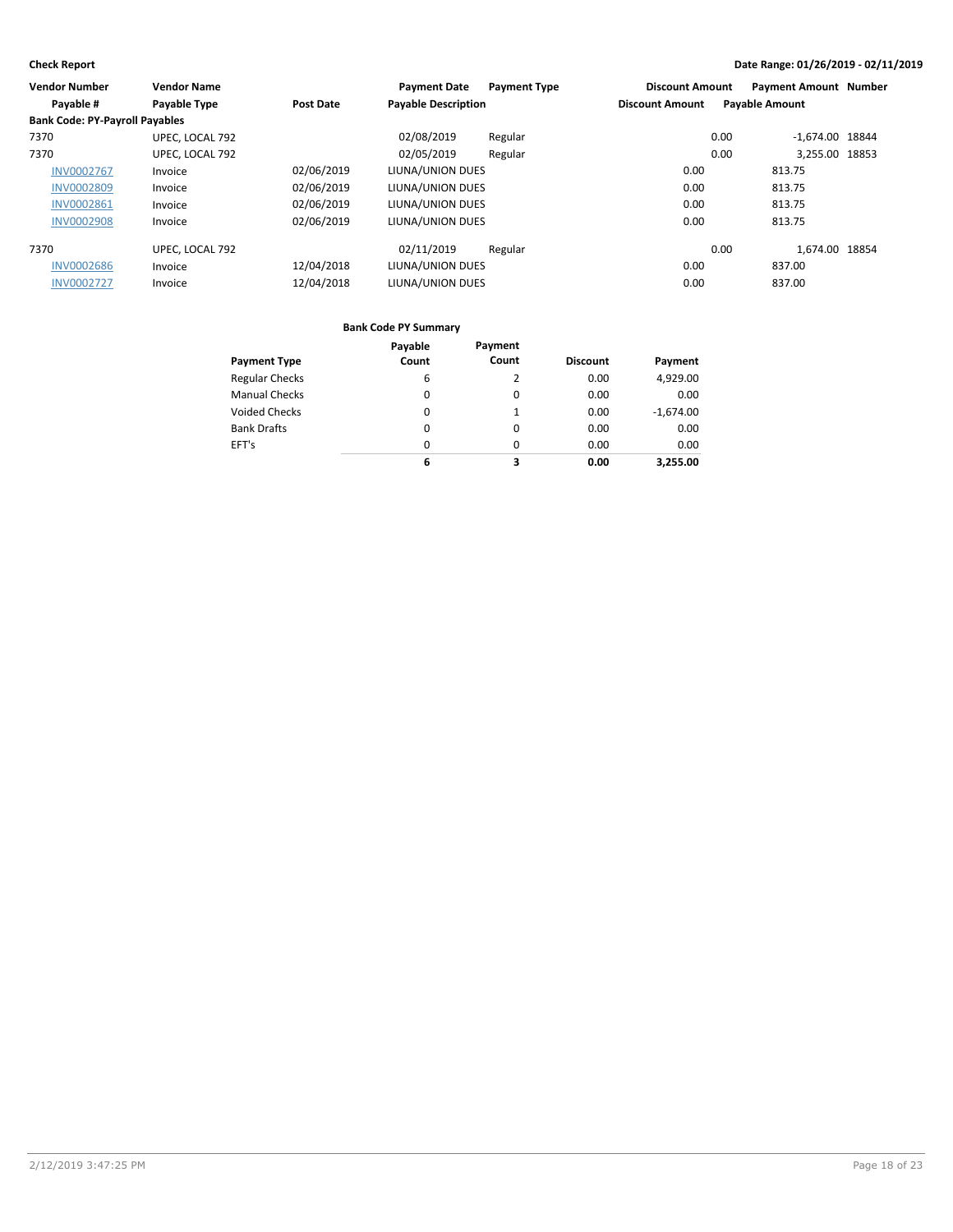| <b>Vendor Number</b>                  | <b>Vendor Name</b> |                  | <b>Payment Date</b>        | <b>Payment Type</b> | <b>Discount Amount</b> |                       | <b>Payment Amount Number</b> |  |
|---------------------------------------|--------------------|------------------|----------------------------|---------------------|------------------------|-----------------------|------------------------------|--|
| Payable #                             | Payable Type       | <b>Post Date</b> | <b>Payable Description</b> |                     | <b>Discount Amount</b> | <b>Payable Amount</b> |                              |  |
| <b>Bank Code: PY-Payroll Payables</b> |                    |                  |                            |                     |                        |                       |                              |  |
| 7370                                  | UPEC. LOCAL 792    |                  | 02/08/2019                 | Regular             |                        | 0.00                  | $-1.674.00$ 18844            |  |
| 7370                                  | UPEC, LOCAL 792    |                  | 02/05/2019                 | Regular             |                        | 0.00                  | 3.255.00 18853               |  |
| <b>INV0002767</b>                     | Invoice            | 02/06/2019       | LIUNA/UNION DUES           |                     | 0.00                   | 813.75                |                              |  |
| <b>INV0002809</b>                     | Invoice            | 02/06/2019       | LIUNA/UNION DUES           |                     | 0.00                   | 813.75                |                              |  |
| <b>INV0002861</b>                     | Invoice            | 02/06/2019       | LIUNA/UNION DUES           |                     | 0.00                   | 813.75                |                              |  |
| <b>INV0002908</b>                     | Invoice            | 02/06/2019       | LIUNA/UNION DUES           |                     | 0.00                   | 813.75                |                              |  |
| 7370                                  | UPEC. LOCAL 792    |                  | 02/11/2019                 | Regular             |                        | 0.00                  | 1.674.00 18854               |  |
| <b>INV0002686</b>                     | Invoice            | 12/04/2018       | LIUNA/UNION DUES           |                     | 0.00                   |                       | 837.00                       |  |
| <b>INV0002727</b>                     | Invoice            | 12/04/2018       | LIUNA/UNION DUES           |                     | 0.00                   | 837.00                |                              |  |

|                       | Payable  | Payment  |                 |             |
|-----------------------|----------|----------|-----------------|-------------|
| <b>Payment Type</b>   | Count    | Count    | <b>Discount</b> | Payment     |
| <b>Regular Checks</b> | 6        |          | 0.00            | 4,929.00    |
| <b>Manual Checks</b>  | 0        | $\Omega$ | 0.00            | 0.00        |
| <b>Voided Checks</b>  | 0        |          | 0.00            | $-1,674.00$ |
| <b>Bank Drafts</b>    | $\Omega$ | $\Omega$ | 0.00            | 0.00        |
| EFT's                 | $\Omega$ | $\Omega$ | 0.00            | 0.00        |
|                       | 6        | 3        | 0.00            | 3.255.00    |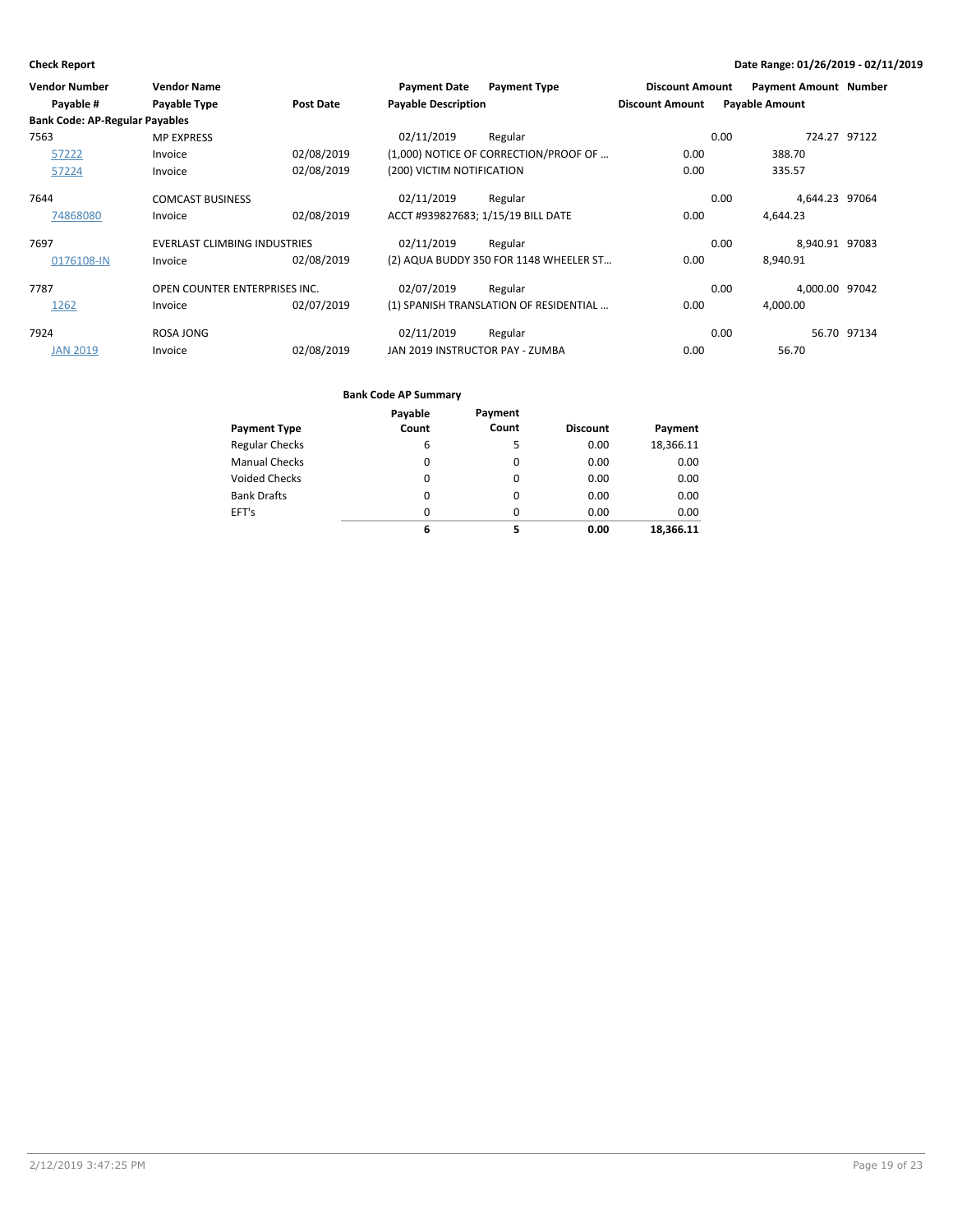| <b>Vendor Number</b>                  | <b>Vendor Name</b>                  |                  | <b>Payment Date</b>        | <b>Payment Type</b>                    | <b>Discount Amount</b> | <b>Payment Amount Number</b> |              |
|---------------------------------------|-------------------------------------|------------------|----------------------------|----------------------------------------|------------------------|------------------------------|--------------|
| Payable #                             | Payable Type                        | <b>Post Date</b> | <b>Payable Description</b> |                                        | <b>Discount Amount</b> | <b>Payable Amount</b>        |              |
| <b>Bank Code: AP-Regular Payables</b> |                                     |                  |                            |                                        |                        |                              |              |
| 7563                                  | <b>MP EXPRESS</b>                   |                  | 02/11/2019                 | Regular                                |                        | 0.00                         | 724.27 97122 |
| 57222                                 | Invoice                             | 02/08/2019       |                            | (1,000) NOTICE OF CORRECTION/PROOF OF  | 0.00                   | 388.70                       |              |
| 57224                                 | Invoice                             | 02/08/2019       | (200) VICTIM NOTIFICATION  |                                        | 0.00                   | 335.57                       |              |
| 7644                                  | <b>COMCAST BUSINESS</b>             |                  | 02/11/2019                 | Regular                                |                        | 4,644.23 97064<br>0.00       |              |
| 74868080                              | Invoice                             | 02/08/2019       |                            | ACCT #939827683; 1/15/19 BILL DATE     | 0.00                   | 4.644.23                     |              |
| 7697                                  | <b>EVERLAST CLIMBING INDUSTRIES</b> |                  | 02/11/2019                 | Regular                                |                        | 8,940.91 97083<br>0.00       |              |
| 0176108-IN                            | Invoice                             | 02/08/2019       |                            | (2) AQUA BUDDY 350 FOR 1148 WHEELER ST | 0.00                   | 8,940.91                     |              |
| 7787                                  | OPEN COUNTER ENTERPRISES INC.       |                  | 02/07/2019                 | Regular                                |                        | 4.000.00 97042<br>0.00       |              |
| 1262                                  | Invoice                             | 02/07/2019       |                            | (1) SPANISH TRANSLATION OF RESIDENTIAL | 0.00                   | 4,000.00                     |              |
| 7924                                  | ROSA JONG                           |                  | 02/11/2019                 | Regular                                |                        | 0.00                         | 56.70 97134  |
| <b>JAN 2019</b>                       | Invoice                             | 02/08/2019       |                            | JAN 2019 INSTRUCTOR PAY - ZUMBA        | 0.00                   | 56.70                        |              |

| <b>Payment Type</b>   | Payable<br>Count | Payment<br>Count | <b>Discount</b> | Payment   |
|-----------------------|------------------|------------------|-----------------|-----------|
| <b>Regular Checks</b> | 6                | 5                | 0.00            | 18,366.11 |
| <b>Manual Checks</b>  | 0                | 0                | 0.00            | 0.00      |
| <b>Voided Checks</b>  | 0                | 0                | 0.00            | 0.00      |
| <b>Bank Drafts</b>    | 0                | $\Omega$         | 0.00            | 0.00      |
| EFT's                 | 0                | $\Omega$         | 0.00            | 0.00      |
|                       | 6                | 5                | 0.00            | 18,366.11 |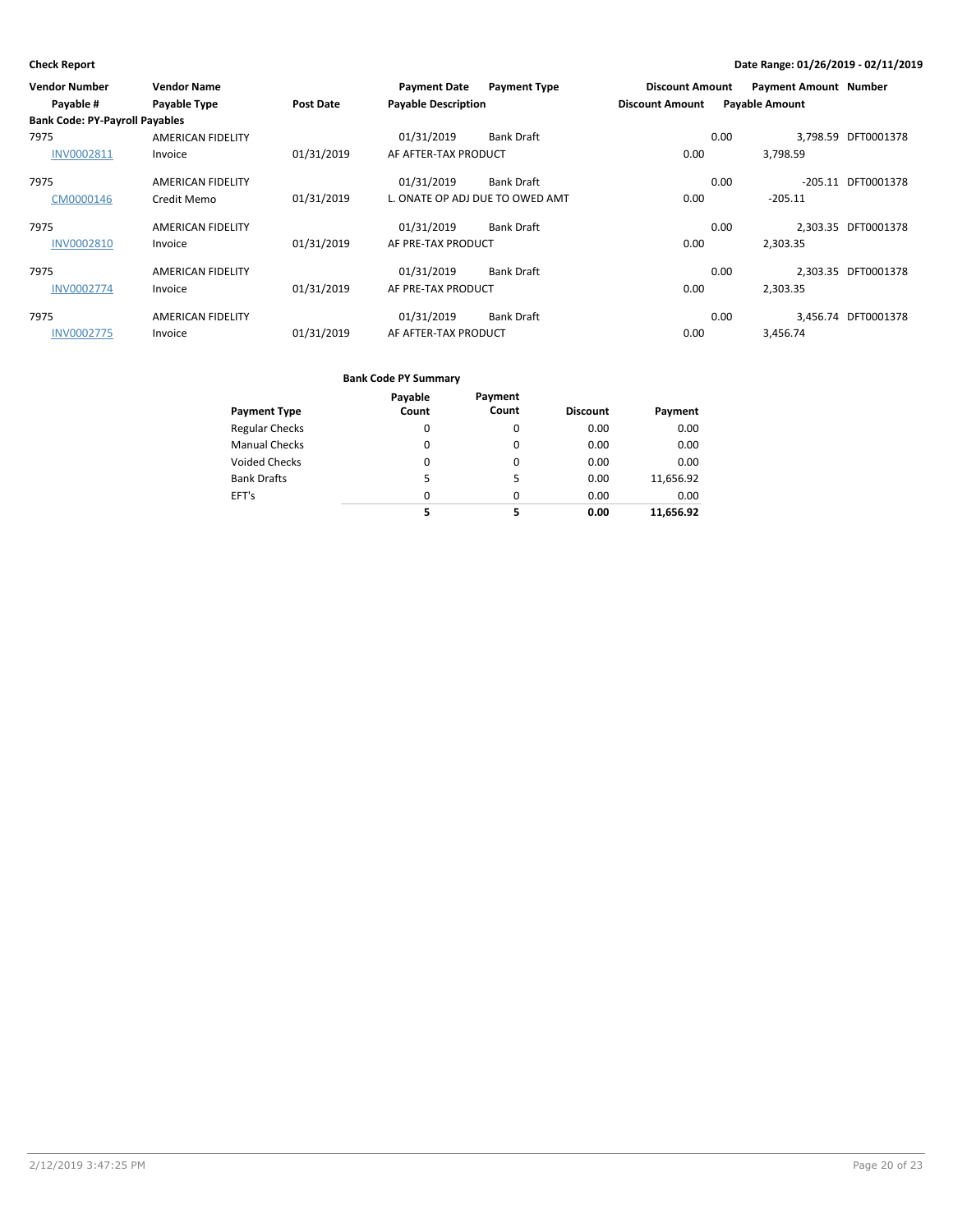| <b>Vendor Number</b>                  | <b>Vendor Name</b>       |                  | <b>Payment Date</b>        | <b>Payment Type</b>             | <b>Discount Amount</b> | <b>Payment Amount Number</b> |                     |
|---------------------------------------|--------------------------|------------------|----------------------------|---------------------------------|------------------------|------------------------------|---------------------|
| Payable #                             | Payable Type             | <b>Post Date</b> | <b>Payable Description</b> |                                 | <b>Discount Amount</b> | <b>Payable Amount</b>        |                     |
| <b>Bank Code: PY-Payroll Payables</b> |                          |                  |                            |                                 |                        |                              |                     |
| 7975                                  | <b>AMERICAN FIDELITY</b> |                  | 01/31/2019                 | <b>Bank Draft</b>               |                        | 3,798.59<br>0.00             | DFT0001378          |
| <b>INV0002811</b>                     | Invoice                  | 01/31/2019       | AF AFTER-TAX PRODUCT       |                                 | 0.00                   | 3,798.59                     |                     |
| 7975                                  | AMERICAN FIDELITY        |                  | 01/31/2019                 | <b>Bank Draft</b>               |                        | 0.00<br>$-205.11$            | DFT0001378          |
| CM0000146                             | Credit Memo              | 01/31/2019       |                            | L. ONATE OP ADJ DUE TO OWED AMT | 0.00                   | $-205.11$                    |                     |
| 7975                                  | <b>AMERICAN FIDELITY</b> |                  | 01/31/2019                 | <b>Bank Draft</b>               |                        | 0.00                         | 2.303.35 DFT0001378 |
| <b>INV0002810</b>                     | Invoice                  | 01/31/2019       | AF PRE-TAX PRODUCT         |                                 | 0.00                   | 2.303.35                     |                     |
| 7975                                  | <b>AMERICAN FIDELITY</b> |                  | 01/31/2019                 | <b>Bank Draft</b>               |                        | 0.00                         | 2,303.35 DFT0001378 |
| <b>INV0002774</b>                     | Invoice                  | 01/31/2019       | AF PRE-TAX PRODUCT         |                                 | 0.00                   | 2,303.35                     |                     |
| 7975                                  | <b>AMERICAN FIDELITY</b> |                  | 01/31/2019                 | <b>Bank Draft</b>               |                        | 0.00                         | 3.456.74 DFT0001378 |
| <b>INV0002775</b>                     | Invoice                  | 01/31/2019       | AF AFTER-TAX PRODUCT       |                                 | 0.00                   | 3,456.74                     |                     |

|                       | Payable  | Payment  |                 |           |
|-----------------------|----------|----------|-----------------|-----------|
| <b>Payment Type</b>   | Count    | Count    | <b>Discount</b> | Payment   |
| <b>Regular Checks</b> | 0        | 0        | 0.00            | 0.00      |
| <b>Manual Checks</b>  | 0        | $\Omega$ | 0.00            | 0.00      |
| <b>Voided Checks</b>  | 0        | 0        | 0.00            | 0.00      |
| <b>Bank Drafts</b>    | 5        | 5        | 0.00            | 11,656.92 |
| EFT's                 | $\Omega$ | $\Omega$ | 0.00            | 0.00      |
|                       | 5        | 5        | 0.00            | 11,656.92 |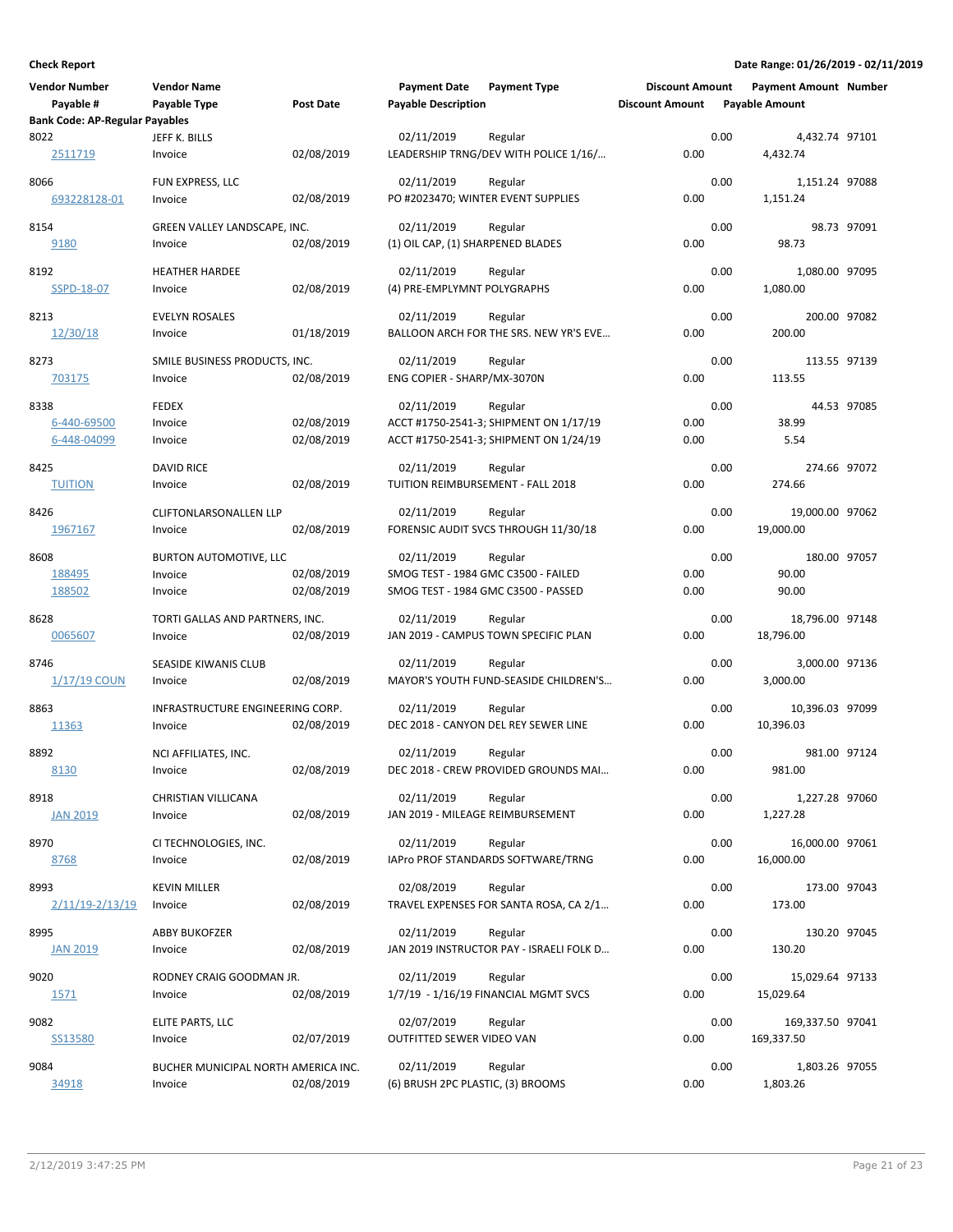| Vendor Number                                 | <b>Vendor Name</b>                  |                          | <b>Payment Date</b>                 | <b>Payment Type</b>                                                              | <b>Discount Amount</b> |      | <b>Payment Amount Number</b> |             |
|-----------------------------------------------|-------------------------------------|--------------------------|-------------------------------------|----------------------------------------------------------------------------------|------------------------|------|------------------------------|-------------|
| Payable #                                     | Payable Type                        | <b>Post Date</b>         | <b>Payable Description</b>          |                                                                                  | <b>Discount Amount</b> |      | <b>Payable Amount</b>        |             |
| <b>Bank Code: AP-Regular Payables</b><br>8022 | JEFF K. BILLS                       |                          |                                     |                                                                                  |                        | 0.00 |                              |             |
| 2511719                                       | Invoice                             | 02/08/2019               | 02/11/2019                          | Regular<br>LEADERSHIP TRNG/DEV WITH POLICE 1/16/                                 | 0.00                   |      | 4,432.74 97101<br>4,432.74   |             |
| 8066                                          | FUN EXPRESS, LLC                    |                          | 02/11/2019                          | Regular                                                                          |                        | 0.00 | 1,151.24 97088               |             |
| 693228128-01                                  | Invoice                             | 02/08/2019               | PO #2023470; WINTER EVENT SUPPLIES  |                                                                                  | 0.00                   |      | 1,151.24                     |             |
| 8154                                          | GREEN VALLEY LANDSCAPE, INC.        |                          | 02/11/2019                          | Regular                                                                          |                        | 0.00 |                              | 98.73 97091 |
| 9180                                          | Invoice                             | 02/08/2019               | (1) OIL CAP, (1) SHARPENED BLADES   |                                                                                  | 0.00                   |      | 98.73                        |             |
| 8192                                          | <b>HEATHER HARDEE</b>               |                          | 02/11/2019                          | Regular                                                                          |                        | 0.00 | 1,080.00 97095               |             |
| SSPD-18-07                                    | Invoice                             | 02/08/2019               | (4) PRE-EMPLYMNT POLYGRAPHS         |                                                                                  | 0.00                   |      | 1,080.00                     |             |
| 8213                                          | <b>EVELYN ROSALES</b>               |                          | 02/11/2019                          | Regular                                                                          |                        | 0.00 | 200.00 97082                 |             |
| 12/30/18                                      | Invoice                             | 01/18/2019               |                                     | BALLOON ARCH FOR THE SRS. NEW YR'S EVE                                           | 0.00                   |      | 200.00                       |             |
| 8273                                          | SMILE BUSINESS PRODUCTS, INC.       |                          | 02/11/2019                          | Regular                                                                          |                        | 0.00 | 113.55 97139                 |             |
| 703175                                        | Invoice                             | 02/08/2019               | ENG COPIER - SHARP/MX-3070N         |                                                                                  | 0.00                   |      | 113.55                       |             |
|                                               |                                     |                          |                                     |                                                                                  |                        |      |                              |             |
| 8338                                          | <b>FEDEX</b>                        |                          | 02/11/2019                          | Regular                                                                          |                        | 0.00 | 38.99                        | 44.53 97085 |
| 6-440-69500<br>6-448-04099                    | Invoice<br>Invoice                  | 02/08/2019<br>02/08/2019 |                                     | ACCT #1750-2541-3; SHIPMENT ON 1/17/19<br>ACCT #1750-2541-3; SHIPMENT ON 1/24/19 | 0.00<br>0.00           |      | 5.54                         |             |
|                                               |                                     |                          |                                     |                                                                                  |                        |      |                              |             |
| 8425                                          | <b>DAVID RICE</b>                   |                          | 02/11/2019                          | Regular                                                                          |                        | 0.00 | 274.66 97072                 |             |
| <b>TUITION</b>                                | Invoice                             | 02/08/2019               | TUITION REIMBURSEMENT - FALL 2018   |                                                                                  | 0.00                   |      | 274.66                       |             |
| 8426                                          | <b>CLIFTONLARSONALLEN LLP</b>       |                          | 02/11/2019                          | Regular                                                                          |                        | 0.00 | 19,000.00 97062              |             |
| 1967167                                       | Invoice                             | 02/08/2019               |                                     | FORENSIC AUDIT SVCS THROUGH 11/30/18                                             | 0.00                   |      | 19,000.00                    |             |
| 8608                                          | BURTON AUTOMOTIVE, LLC              |                          | 02/11/2019                          | Regular                                                                          |                        | 0.00 | 180.00 97057                 |             |
| 188495                                        | Invoice                             | 02/08/2019               | SMOG TEST - 1984 GMC C3500 - FAILED |                                                                                  | 0.00                   |      | 90.00                        |             |
| 188502                                        | Invoice                             | 02/08/2019               |                                     | SMOG TEST - 1984 GMC C3500 - PASSED                                              | 0.00                   |      | 90.00                        |             |
| 8628                                          | TORTI GALLAS AND PARTNERS, INC.     |                          | 02/11/2019                          | Regular                                                                          |                        | 0.00 | 18,796.00 97148              |             |
| 0065607                                       | Invoice                             | 02/08/2019               |                                     | JAN 2019 - CAMPUS TOWN SPECIFIC PLAN                                             | 0.00                   |      | 18,796.00                    |             |
|                                               |                                     |                          |                                     |                                                                                  |                        |      |                              |             |
| 8746                                          | SEASIDE KIWANIS CLUB                |                          | 02/11/2019                          | Regular                                                                          |                        | 0.00 | 3,000.00 97136               |             |
| 1/17/19 COUN                                  | Invoice                             | 02/08/2019               |                                     | MAYOR'S YOUTH FUND-SEASIDE CHILDREN'S                                            | 0.00                   |      | 3,000.00                     |             |
| 8863                                          | INFRASTRUCTURE ENGINEERING CORP.    |                          | 02/11/2019                          | Regular                                                                          |                        | 0.00 | 10,396.03 97099              |             |
| 11363                                         | Invoice                             | 02/08/2019               |                                     | DEC 2018 - CANYON DEL REY SEWER LINE                                             | 0.00                   |      | 10,396.03                    |             |
| 8892                                          | NCI AFFILIATES, INC.                |                          | 02/11/2019                          | Regular                                                                          |                        | 0.00 | 981.00 97124                 |             |
| 8130                                          | Invoice                             | 02/08/2019               |                                     | DEC 2018 - CREW PROVIDED GROUNDS MAI                                             | 0.00                   |      | 981.00                       |             |
| 8918                                          | CHRISTIAN VILLICANA                 |                          | 02/11/2019                          | Regular                                                                          |                        | 0.00 |                              |             |
| <b>JAN 2019</b>                               | Invoice                             | 02/08/2019               | JAN 2019 - MILEAGE REIMBURSEMENT    |                                                                                  | 0.00                   |      | 1,227.28 97060<br>1,227.28   |             |
|                                               |                                     |                          |                                     |                                                                                  |                        |      |                              |             |
| 8970                                          | CI TECHNOLOGIES, INC.               |                          | 02/11/2019                          | Regular                                                                          |                        | 0.00 | 16,000.00 97061              |             |
| 8768                                          | Invoice                             | 02/08/2019               |                                     | IAPro PROF STANDARDS SOFTWARE/TRNG                                               | 0.00                   |      | 16,000.00                    |             |
| 8993                                          | <b>KEVIN MILLER</b>                 |                          | 02/08/2019                          | Regular                                                                          |                        | 0.00 | 173.00 97043                 |             |
| $2/11/19 - 2/13/19$                           | Invoice                             | 02/08/2019               |                                     | TRAVEL EXPENSES FOR SANTA ROSA, CA 2/1                                           | 0.00                   |      | 173.00                       |             |
| 8995                                          | <b>ABBY BUKOFZER</b>                |                          | 02/11/2019                          | Regular                                                                          |                        | 0.00 | 130.20 97045                 |             |
| <b>JAN 2019</b>                               | Invoice                             | 02/08/2019               |                                     | JAN 2019 INSTRUCTOR PAY - ISRAELI FOLK D                                         | 0.00                   |      | 130.20                       |             |
|                                               |                                     |                          |                                     |                                                                                  |                        |      |                              |             |
| 9020<br><u>1571</u>                           | RODNEY CRAIG GOODMAN JR.<br>Invoice | 02/08/2019               | 02/11/2019                          | Regular<br>1/7/19 - 1/16/19 FINANCIAL MGMT SVCS                                  | 0.00                   | 0.00 | 15,029.64 97133<br>15,029.64 |             |
|                                               |                                     |                          |                                     |                                                                                  |                        |      |                              |             |
| 9082                                          | ELITE PARTS, LLC                    |                          | 02/07/2019                          | Regular                                                                          |                        | 0.00 | 169,337.50 97041             |             |
| SS13580                                       | Invoice                             | 02/07/2019               | OUTFITTED SEWER VIDEO VAN           |                                                                                  | 0.00                   |      | 169,337.50                   |             |
| 9084                                          | BUCHER MUNICIPAL NORTH AMERICA INC. |                          | 02/11/2019                          | Regular                                                                          |                        | 0.00 | 1,803.26 97055               |             |
| 34918                                         | Invoice                             | 02/08/2019               | (6) BRUSH 2PC PLASTIC, (3) BROOMS   |                                                                                  | 0.00                   |      | 1,803.26                     |             |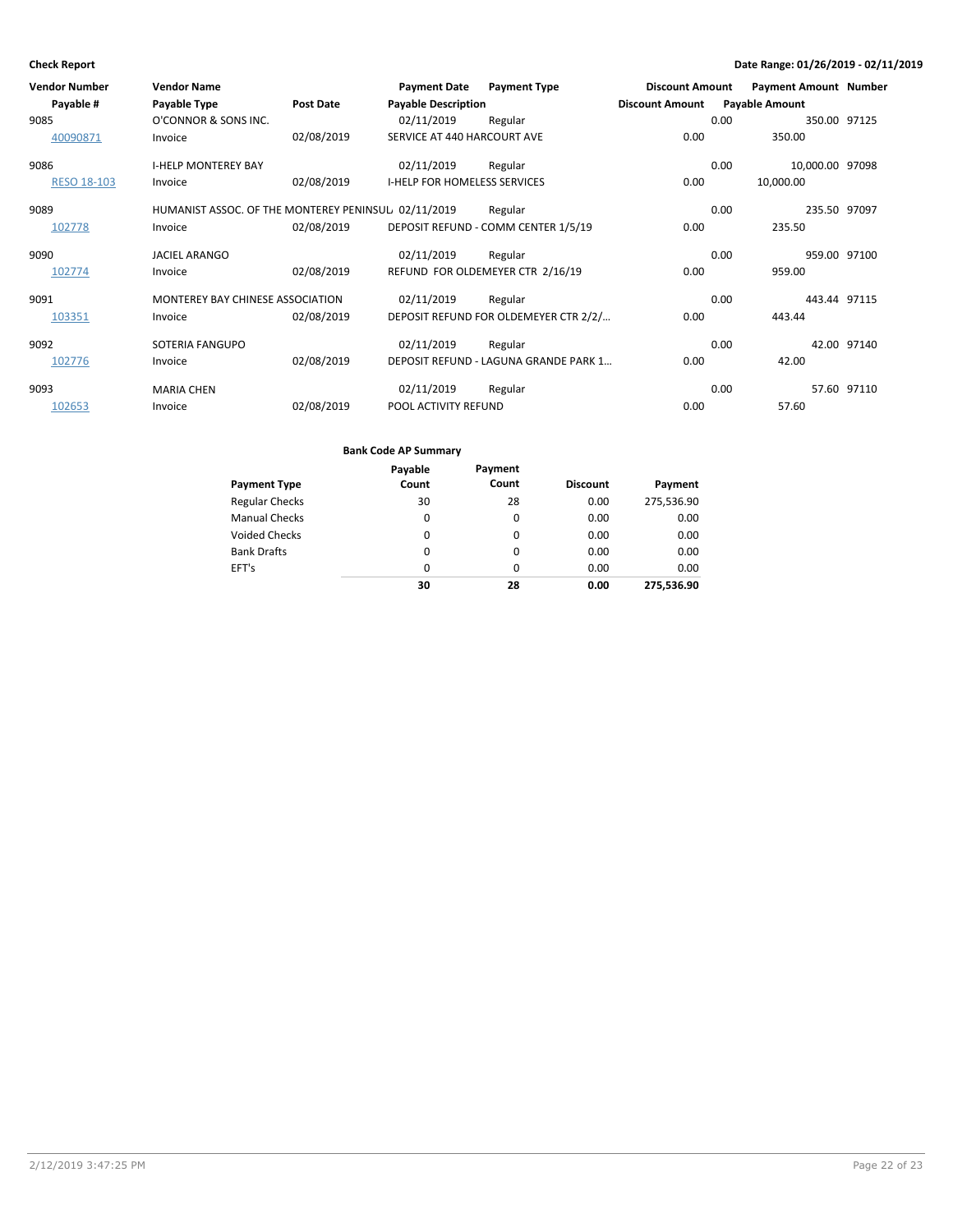| <b>Vendor Number</b><br>Payable # | <b>Vendor Name</b><br>Payable Type                  | <b>Post Date</b> | <b>Payment Date</b><br><b>Payable Description</b> | <b>Payment Type</b>                   | <b>Discount Amount</b><br><b>Discount Amount</b> |      | <b>Payment Amount Number</b><br><b>Payable Amount</b> |             |
|-----------------------------------|-----------------------------------------------------|------------------|---------------------------------------------------|---------------------------------------|--------------------------------------------------|------|-------------------------------------------------------|-------------|
| 9085                              | O'CONNOR & SONS INC.                                |                  | 02/11/2019                                        | Regular                               |                                                  | 0.00 | 350.00 97125                                          |             |
| 40090871                          | Invoice                                             | 02/08/2019       | SERVICE AT 440 HARCOURT AVE                       |                                       | 0.00                                             |      | 350.00                                                |             |
| 9086                              | <b>I-HELP MONTEREY BAY</b>                          |                  | 02/11/2019                                        | Regular                               |                                                  | 0.00 | 10,000.00 97098                                       |             |
| <b>RESO 18-103</b>                | Invoice                                             | 02/08/2019       | <b>I-HELP FOR HOMELESS SERVICES</b>               |                                       | 0.00                                             |      | 10,000.00                                             |             |
| 9089                              | HUMANIST ASSOC. OF THE MONTEREY PENINSUL 02/11/2019 |                  |                                                   | Regular                               |                                                  | 0.00 | 235.50 97097                                          |             |
| 102778                            | Invoice                                             | 02/08/2019       |                                                   | DEPOSIT REFUND - COMM CENTER 1/5/19   | 0.00                                             |      | 235.50                                                |             |
| 9090                              | <b>JACIEL ARANGO</b>                                |                  | 02/11/2019                                        | Regular                               |                                                  | 0.00 | 959.00 97100                                          |             |
| 102774                            | Invoice                                             | 02/08/2019       |                                                   | REFUND FOR OLDEMEYER CTR 2/16/19      | 0.00                                             |      | 959.00                                                |             |
| 9091                              | MONTEREY BAY CHINESE ASSOCIATION                    |                  | 02/11/2019                                        | Regular                               |                                                  | 0.00 | 443.44 97115                                          |             |
| 103351                            | Invoice                                             | 02/08/2019       |                                                   | DEPOSIT REFUND FOR OLDEMEYER CTR 2/2/ | 0.00                                             |      | 443.44                                                |             |
| 9092                              | SOTERIA FANGUPO                                     |                  | 02/11/2019                                        | Regular                               |                                                  | 0.00 |                                                       | 42.00 97140 |
| 102776                            | Invoice                                             | 02/08/2019       |                                                   | DEPOSIT REFUND - LAGUNA GRANDE PARK 1 | 0.00                                             |      | 42.00                                                 |             |
| 9093                              | <b>MARIA CHEN</b>                                   |                  | 02/11/2019                                        | Regular                               |                                                  | 0.00 |                                                       | 57.60 97110 |
| 102653                            | Invoice                                             | 02/08/2019       | POOL ACTIVITY REFUND                              |                                       | 0.00                                             |      | 57.60                                                 |             |

| <b>Payment Type</b>   | Payable<br>Count | Payment<br>Count | <b>Discount</b> | Payment    |
|-----------------------|------------------|------------------|-----------------|------------|
| <b>Regular Checks</b> | 30               | 28               | 0.00            | 275,536.90 |
| <b>Manual Checks</b>  | 0                | 0                | 0.00            | 0.00       |
| <b>Voided Checks</b>  | 0                | 0                | 0.00            | 0.00       |
| <b>Bank Drafts</b>    | 0                | 0                | 0.00            | 0.00       |
| EFT's                 | 0                | 0                | 0.00            | 0.00       |
|                       | 30               | 28               | 0.00            | 275.536.90 |